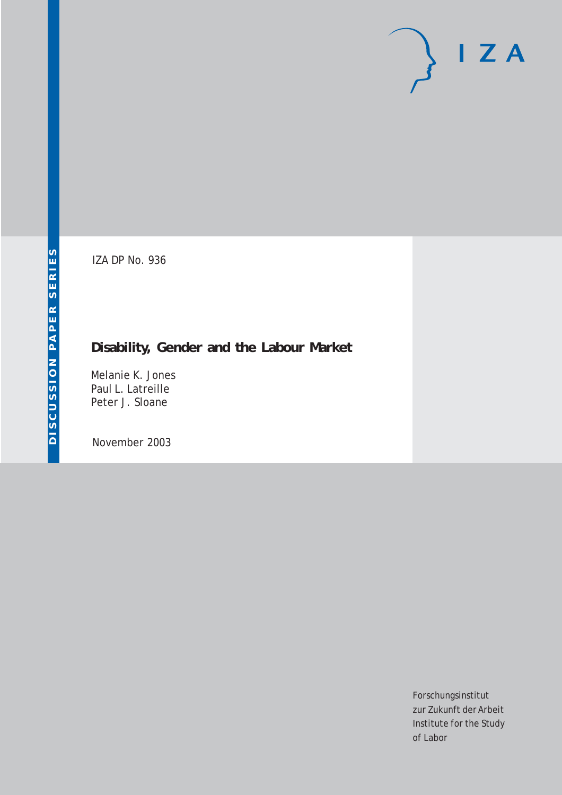# $I Z A$

IZA DP No. 936

## **Disability, Gender and the Labour Market**

Melanie K. Jones Paul L. Latreille Peter J. Sloane

November 2003

Forschungsinstitut zur Zukunft der Arbeit Institute for the Study of Labor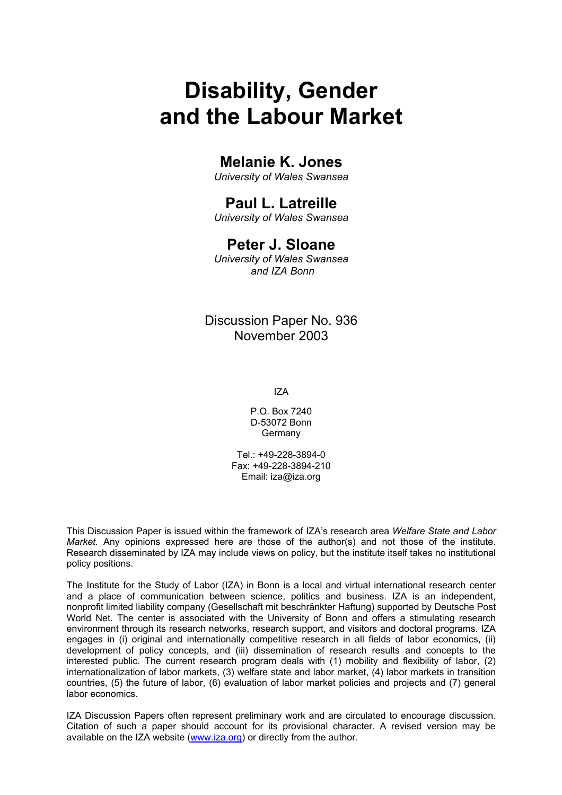# **Disability, Gender and the Labour Market**

## **Melanie K. Jones**

*University of Wales Swansea* 

## **Paul L. Latreille**

*University of Wales Swansea* 

## **Peter J. Sloane**

*University of Wales Swansea and IZA Bonn* 

## Discussion Paper No. 936 November 2003

IZA

P.O. Box 7240 D-53072 Bonn **Germany** 

Tel.: +49-228-3894-0 Fax: +49-228-3894-210 Email: [iza@iza.org](mailto:iza@iza.org)

This Discussion Paper is issued within the framework of IZA's research area *Welfare State and Labor Market.* Any opinions expressed here are those of the author(s) and not those of the institute. Research disseminated by IZA may include views on policy, but the institute itself takes no institutional policy positions.

The Institute for the Study of Labor (IZA) in Bonn is a local and virtual international research center and a place of communication between science, politics and business. IZA is an independent, nonprofit limited liability company (Gesellschaft mit beschränkter Haftung) supported by Deutsche Post World Net. The center is associated with the University of Bonn and offers a stimulating research environment through its research networks, research support, and visitors and doctoral programs. IZA engages in (i) original and internationally competitive research in all fields of labor economics, (ii) development of policy concepts, and (iii) dissemination of research results and concepts to the interested public. The current research program deals with (1) mobility and flexibility of labor, (2) internationalization of labor markets, (3) welfare state and labor market, (4) labor markets in transition countries, (5) the future of labor, (6) evaluation of labor market policies and projects and (7) general labor economics.

IZA Discussion Papers often represent preliminary work and are circulated to encourage discussion. Citation of such a paper should account for its provisional character. A revised version may be available on the IZA website ([www.iza.org](http://www.iza.org/)) or directly from the author.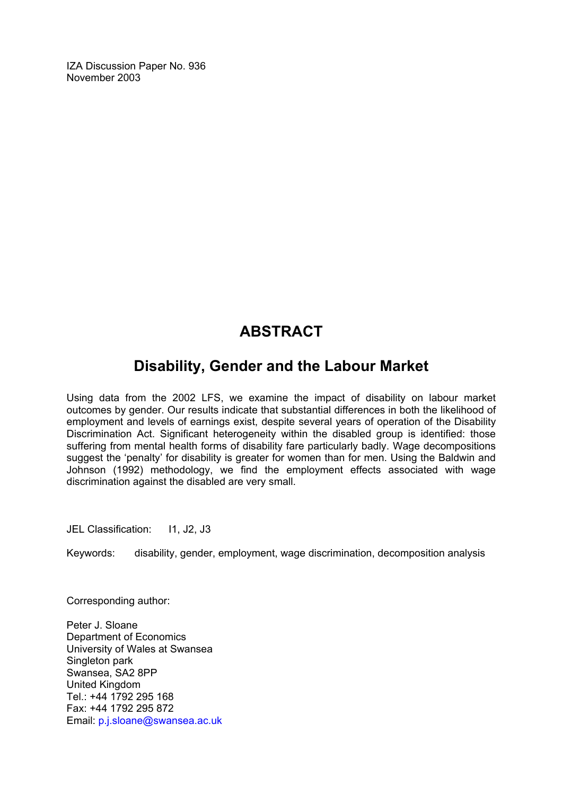IZA Discussion Paper No. 936 November 2003

## **ABSTRACT**

## **Disability, Gender and the Labour Market**

Using data from the 2002 LFS, we examine the impact of disability on labour market outcomes by gender. Our results indicate that substantial differences in both the likelihood of employment and levels of earnings exist, despite several years of operation of the Disability Discrimination Act. Significant heterogeneity within the disabled group is identified: those suffering from mental health forms of disability fare particularly badly. Wage decompositions suggest the 'penalty' for disability is greater for women than for men. Using the Baldwin and Johnson (1992) methodology, we find the employment effects associated with wage discrimination against the disabled are very small.

JEL Classification: 11, J2, J3

Keywords: disability, gender, employment, wage discrimination, decomposition analysis

Corresponding author:

Peter J. Sloane Department of Economics University of Wales at Swansea Singleton park Swansea, SA2 8PP United Kingdom Tel.: +44 1792 295 168 Fax: +44 1792 295 872 Email: [p.j.sloane@swansea.ac.uk](mailto:p.j.sloane@swansea.ac.uk)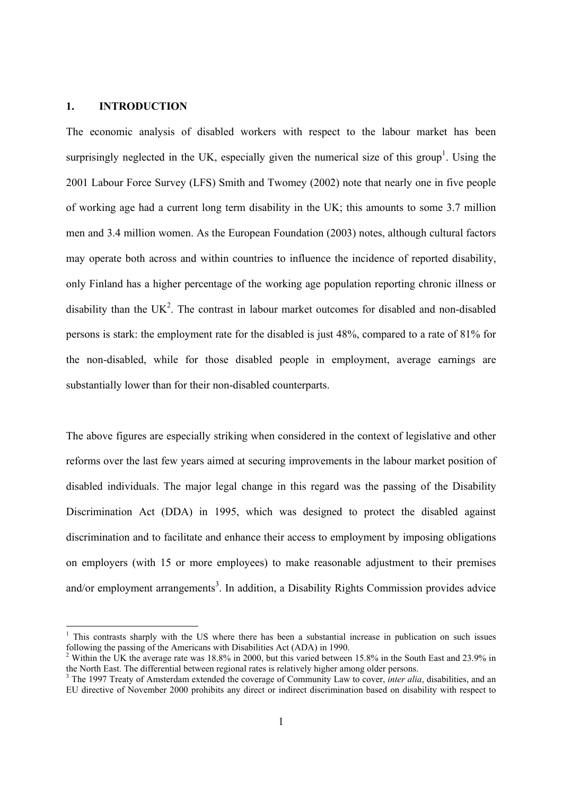#### **1. INTRODUCTION**

1

The economic analysis of disabled workers with respect to the labour market has been surprisingly neglected in the UK, especially given the numerical size of this group<sup>1</sup>. Using the 2001 Labour Force Survey (LFS) Smith and Twomey (2002) note that nearly one in five people of working age had a current long term disability in the UK; this amounts to some 3.7 million men and 3.4 million women. As the European Foundation (2003) notes, although cultural factors may operate both across and within countries to influence the incidence of reported disability, only Finland has a higher percentage of the working age population reporting chronic illness or disability than the UK<sup>2</sup>. The contrast in labour market outcomes for disabled and non-disabled persons is stark: the employment rate for the disabled is just 48%, compared to a rate of 81% for the non-disabled, while for those disabled people in employment, average earnings are substantially lower than for their non-disabled counterparts.

The above figures are especially striking when considered in the context of legislative and other reforms over the last few years aimed at securing improvements in the labour market position of disabled individuals. The major legal change in this regard was the passing of the Disability Discrimination Act (DDA) in 1995, which was designed to protect the disabled against discrimination and to facilitate and enhance their access to employment by imposing obligations on employers (with 15 or more employees) to make reasonable adjustment to their premises and/or employment arrangements<sup>3</sup>. In addition, a Disability Rights Commission provides advice

<sup>&</sup>lt;sup>1</sup> This contrasts sharply with the US where there has been a substantial increase in publication on such issues following the passing of the Americans with Disabilities Act (ADA) in 1990.

<sup>&</sup>lt;sup>2</sup> Within the UK the average rate was 18.8% in 2000, but this varied between 15.8% in the South East and 23.9% in the North East. The differential between regional rates is relatively higher among older persons.

<sup>&</sup>lt;sup>3</sup> The 1997 Treaty of Amsterdam extended the coverage of Community Law to cover, *inter alia*, disabilities, and an EU directive of November 2000 prohibits any direct or indirect discrimination based on disability with respect to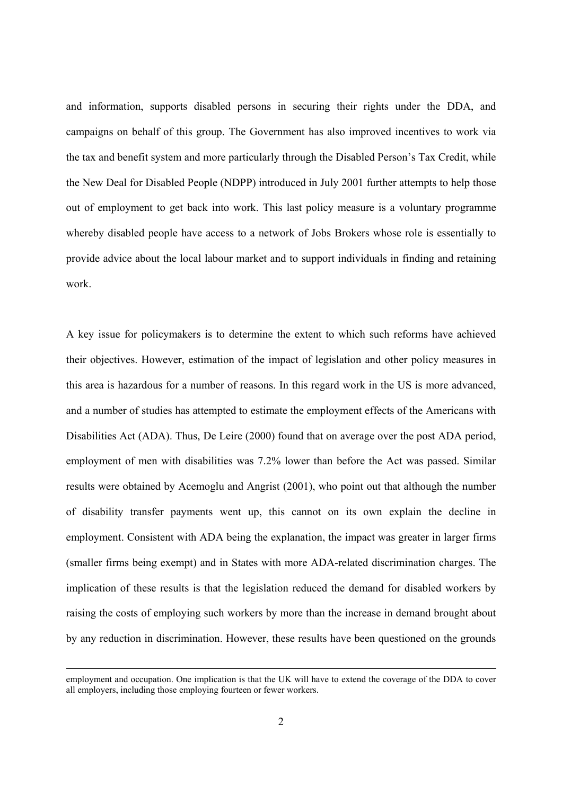and information, supports disabled persons in securing their rights under the DDA, and campaigns on behalf of this group. The Government has also improved incentives to work via the tax and benefit system and more particularly through the Disabled Person's Tax Credit, while the New Deal for Disabled People (NDPP) introduced in July 2001 further attempts to help those out of employment to get back into work. This last policy measure is a voluntary programme whereby disabled people have access to a network of Jobs Brokers whose role is essentially to provide advice about the local labour market and to support individuals in finding and retaining work.

A key issue for policymakers is to determine the extent to which such reforms have achieved their objectives. However, estimation of the impact of legislation and other policy measures in this area is hazardous for a number of reasons. In this regard work in the US is more advanced, and a number of studies has attempted to estimate the employment effects of the Americans with Disabilities Act (ADA). Thus, De Leire (2000) found that on average over the post ADA period, employment of men with disabilities was 7.2% lower than before the Act was passed. Similar results were obtained by Acemoglu and Angrist (2001), who point out that although the number of disability transfer payments went up, this cannot on its own explain the decline in employment. Consistent with ADA being the explanation, the impact was greater in larger firms (smaller firms being exempt) and in States with more ADA-related discrimination charges. The implication of these results is that the legislation reduced the demand for disabled workers by raising the costs of employing such workers by more than the increase in demand brought about by any reduction in discrimination. However, these results have been questioned on the grounds

employment and occupation. One implication is that the UK will have to extend the coverage of the DDA to cover all employers, including those employing fourteen or fewer workers.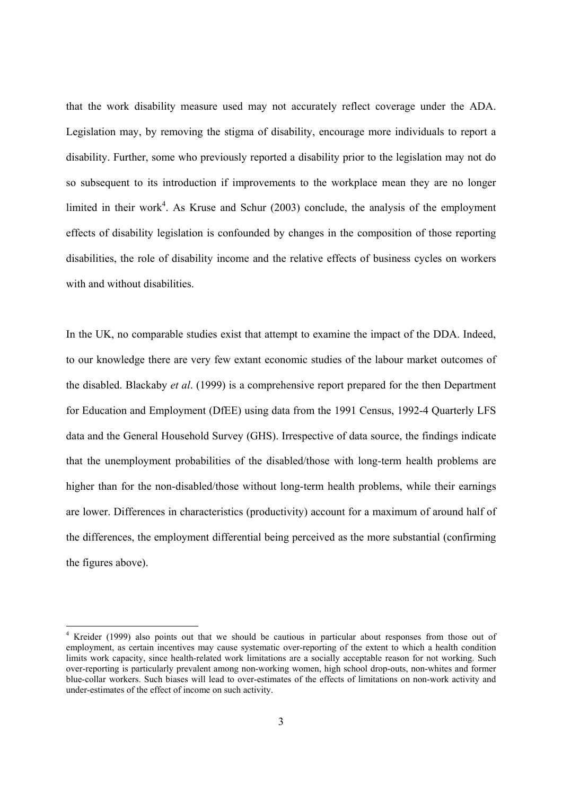that the work disability measure used may not accurately reflect coverage under the ADA. Legislation may, by removing the stigma of disability, encourage more individuals to report a disability. Further, some who previously reported a disability prior to the legislation may not do so subsequent to its introduction if improvements to the workplace mean they are no longer limited in their work<sup>4</sup>. As Kruse and Schur  $(2003)$  conclude, the analysis of the employment effects of disability legislation is confounded by changes in the composition of those reporting disabilities, the role of disability income and the relative effects of business cycles on workers with and without disabilities.

In the UK, no comparable studies exist that attempt to examine the impact of the DDA. Indeed, to our knowledge there are very few extant economic studies of the labour market outcomes of the disabled. Blackaby *et al*. (1999) is a comprehensive report prepared for the then Department for Education and Employment (DfEE) using data from the 1991 Census, 1992-4 Quarterly LFS data and the General Household Survey (GHS). Irrespective of data source, the findings indicate that the unemployment probabilities of the disabled/those with long-term health problems are higher than for the non-disabled/those without long-term health problems, while their earnings are lower. Differences in characteristics (productivity) account for a maximum of around half of the differences, the employment differential being perceived as the more substantial (confirming the figures above).

1

<sup>&</sup>lt;sup>4</sup> Kreider (1999) also points out that we should be cautious in particular about responses from those out of employment, as certain incentives may cause systematic over-reporting of the extent to which a health condition limits work capacity, since health-related work limitations are a socially acceptable reason for not working. Such over-reporting is particularly prevalent among non-working women, high school drop-outs, non-whites and former blue-collar workers. Such biases will lead to over-estimates of the effects of limitations on non-work activity and under-estimates of the effect of income on such activity.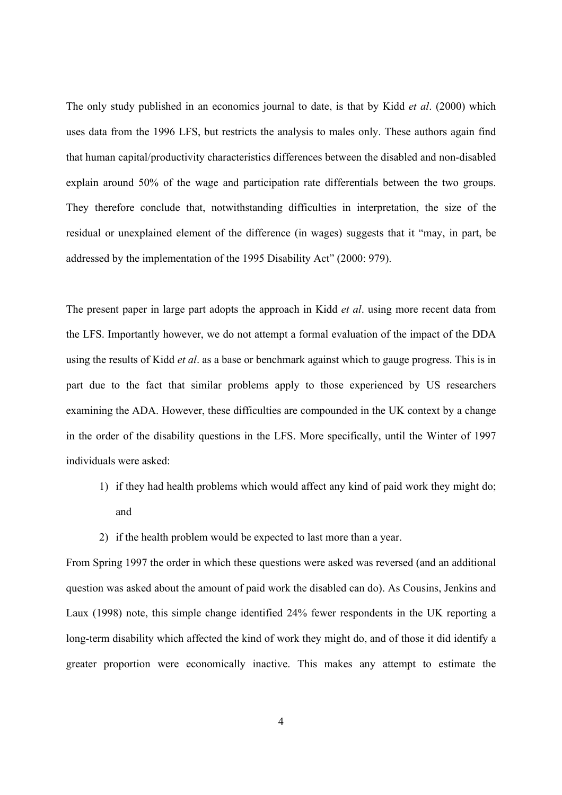The only study published in an economics journal to date, is that by Kidd *et al*. (2000) which uses data from the 1996 LFS, but restricts the analysis to males only. These authors again find that human capital/productivity characteristics differences between the disabled and non-disabled explain around 50% of the wage and participation rate differentials between the two groups. They therefore conclude that, notwithstanding difficulties in interpretation, the size of the residual or unexplained element of the difference (in wages) suggests that it "may, in part, be addressed by the implementation of the 1995 Disability Act" (2000: 979).

The present paper in large part adopts the approach in Kidd *et al*. using more recent data from the LFS. Importantly however, we do not attempt a formal evaluation of the impact of the DDA using the results of Kidd *et al*. as a base or benchmark against which to gauge progress. This is in part due to the fact that similar problems apply to those experienced by US researchers examining the ADA. However, these difficulties are compounded in the UK context by a change in the order of the disability questions in the LFS. More specifically, until the Winter of 1997 individuals were asked:

- 1) if they had health problems which would affect any kind of paid work they might do; and
- 2) if the health problem would be expected to last more than a year.

From Spring 1997 the order in which these questions were asked was reversed (and an additional question was asked about the amount of paid work the disabled can do). As Cousins, Jenkins and Laux (1998) note, this simple change identified 24% fewer respondents in the UK reporting a long-term disability which affected the kind of work they might do, and of those it did identify a greater proportion were economically inactive. This makes any attempt to estimate the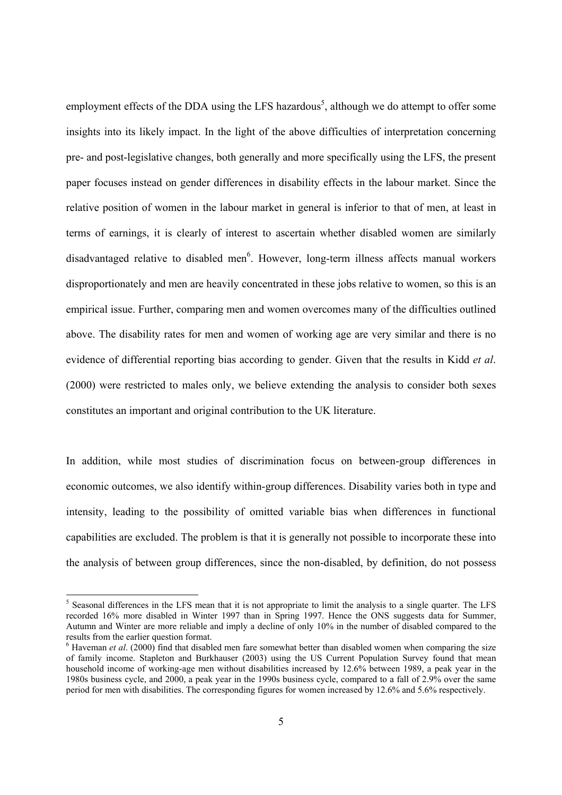employment effects of the DDA using the LFS hazardous<sup>5</sup>, although we do attempt to offer some insights into its likely impact. In the light of the above difficulties of interpretation concerning pre- and post-legislative changes, both generally and more specifically using the LFS, the present paper focuses instead on gender differences in disability effects in the labour market. Since the relative position of women in the labour market in general is inferior to that of men, at least in terms of earnings, it is clearly of interest to ascertain whether disabled women are similarly disadvantaged relative to disabled men<sup>6</sup>. However, long-term illness affects manual workers disproportionately and men are heavily concentrated in these jobs relative to women, so this is an empirical issue. Further, comparing men and women overcomes many of the difficulties outlined above. The disability rates for men and women of working age are very similar and there is no evidence of differential reporting bias according to gender. Given that the results in Kidd *et al*. (2000) were restricted to males only, we believe extending the analysis to consider both sexes constitutes an important and original contribution to the UK literature.

In addition, while most studies of discrimination focus on between-group differences in economic outcomes, we also identify within-group differences. Disability varies both in type and intensity, leading to the possibility of omitted variable bias when differences in functional capabilities are excluded. The problem is that it is generally not possible to incorporate these into the analysis of between group differences, since the non-disabled, by definition, do not possess

-

<sup>&</sup>lt;sup>5</sup> Seasonal differences in the LFS mean that it is not appropriate to limit the analysis to a single quarter. The LFS recorded 16% more disabled in Winter 1997 than in Spring 1997. Hence the ONS suggests data for Summer, Autumn and Winter are more reliable and imply a decline of only 10% in the number of disabled compared to the results from the earlier question format.

 $6$  Haveman *et al.* (2000) find that disabled men fare somewhat better than disabled women when comparing the size of family income. Stapleton and Burkhauser (2003) using the US Current Population Survey found that mean household income of working-age men without disabilities increased by 12.6% between 1989, a peak year in the 1980s business cycle, and 2000, a peak year in the 1990s business cycle, compared to a fall of 2.9% over the same period for men with disabilities. The corresponding figures for women increased by 12.6% and 5.6% respectively.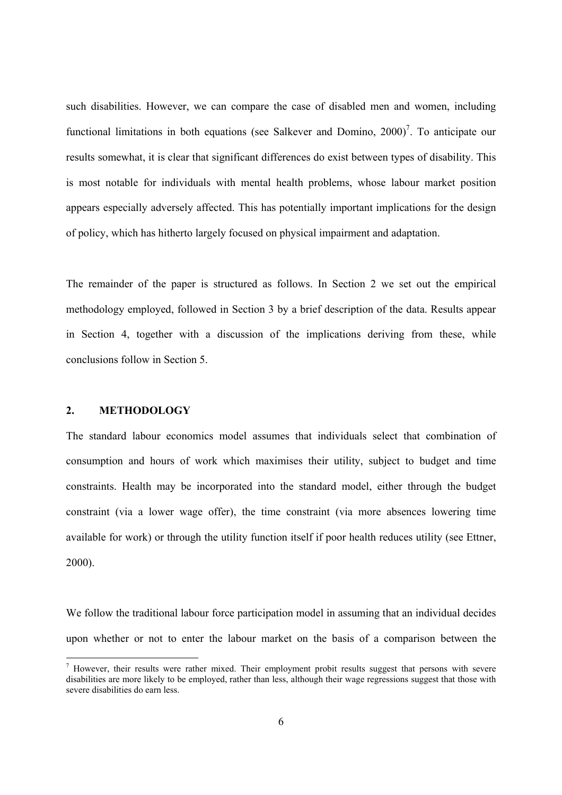such disabilities. However, we can compare the case of disabled men and women, including functional limitations in both equations (see Salkever and Domino,  $2000$ )<sup>7</sup>. To anticipate our results somewhat, it is clear that significant differences do exist between types of disability. This is most notable for individuals with mental health problems, whose labour market position appears especially adversely affected. This has potentially important implications for the design of policy, which has hitherto largely focused on physical impairment and adaptation.

The remainder of the paper is structured as follows. In Section 2 we set out the empirical methodology employed, followed in Section 3 by a brief description of the data. Results appear in Section 4, together with a discussion of the implications deriving from these, while conclusions follow in Section 5.

#### **2. METHODOLOGY**

-

The standard labour economics model assumes that individuals select that combination of consumption and hours of work which maximises their utility, subject to budget and time constraints. Health may be incorporated into the standard model, either through the budget constraint (via a lower wage offer), the time constraint (via more absences lowering time available for work) or through the utility function itself if poor health reduces utility (see Ettner, 2000).

We follow the traditional labour force participation model in assuming that an individual decides upon whether or not to enter the labour market on the basis of a comparison between the

 $<sup>7</sup>$  However, their results were rather mixed. Their employment probit results suggest that persons with severe</sup> disabilities are more likely to be employed, rather than less, although their wage regressions suggest that those with severe disabilities do earn less.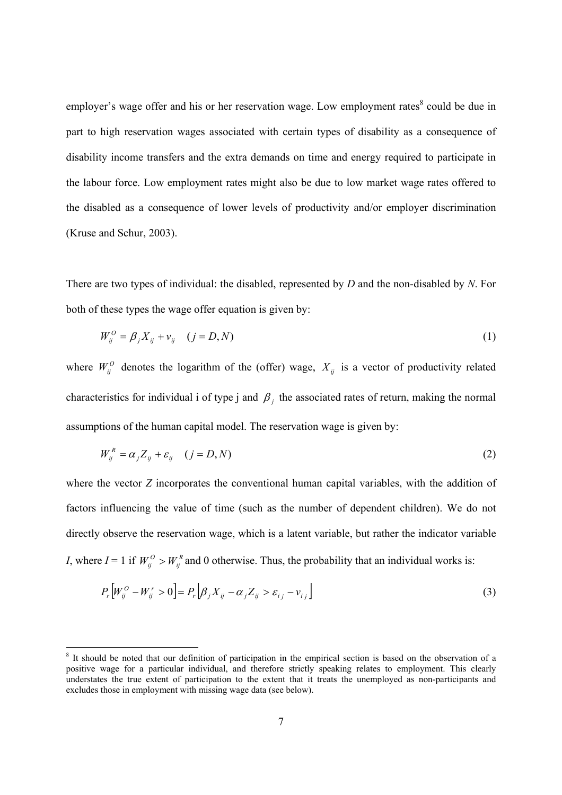employer's wage offer and his or her reservation wage. Low employment rates<sup>8</sup> could be due in part to high reservation wages associated with certain types of disability as a consequence of disability income transfers and the extra demands on time and energy required to participate in the labour force. Low employment rates might also be due to low market wage rates offered to the disabled as a consequence of lower levels of productivity and/or employer discrimination (Kruse and Schur, 2003).

There are two types of individual: the disabled, represented by *D* and the non-disabled by *N*. For both of these types the wage offer equation is given by:

$$
W_{ij}^O = \beta_j X_{ij} + v_{ij} \quad (j = D, N) \tag{1}
$$

where  $W_{ij}^O$  denotes the logarithm of the (offer) wage,  $X_{ij}$  is a vector of productivity related characteristics for individual i of type j and  $\beta$  i the associated rates of return, making the normal assumptions of the human capital model. The reservation wage is given by:

$$
W_{ij}^R = \alpha_j Z_{ij} + \varepsilon_{ij} \quad (j = D, N)
$$
 (2)

where the vector *Z* incorporates the conventional human capital variables, with the addition of factors influencing the value of time (such as the number of dependent children). We do not directly observe the reservation wage, which is a latent variable, but rather the indicator variable *I*, where *I* = 1 if  $W_{ij}^O > W_{ij}^R$  and 0 otherwise. Thus, the probability that an individual works is:

$$
P_r\left[W_{ij}^O - W_{ij}^r > 0\right] = P_r\left[\beta_j X_{ij} - \alpha_j Z_{ij} > \varepsilon_{ij} - \nu_{ij}\right]
$$
\n(3)

-

<sup>&</sup>lt;sup>8</sup> It should be noted that our definition of participation in the empirical section is based on the observation of a positive wage for a particular individual, and therefore strictly speaking relates to employment. This clearly understates the true extent of participation to the extent that it treats the unemployed as non-participants and excludes those in employment with missing wage data (see below).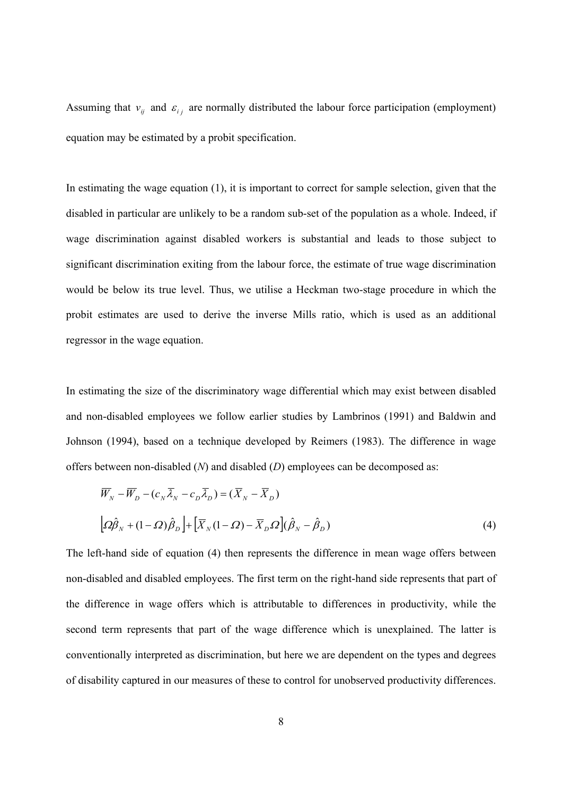Assuming that  $v_{ij}$  and  $\varepsilon_{ij}$  are normally distributed the labour force participation (employment) equation may be estimated by a probit specification.

In estimating the wage equation (1), it is important to correct for sample selection, given that the disabled in particular are unlikely to be a random sub-set of the population as a whole. Indeed, if wage discrimination against disabled workers is substantial and leads to those subject to significant discrimination exiting from the labour force, the estimate of true wage discrimination would be below its true level. Thus, we utilise a Heckman two-stage procedure in which the probit estimates are used to derive the inverse Mills ratio, which is used as an additional regressor in the wage equation.

In estimating the size of the discriminatory wage differential which may exist between disabled and non-disabled employees we follow earlier studies by Lambrinos (1991) and Baldwin and Johnson (1994), based on a technique developed by Reimers (1983). The difference in wage offers between non-disabled (*N*) and disabled (*D*) employees can be decomposed as:

$$
\overline{W}_N - \overline{W}_D - (c_N \overline{\lambda}_N - c_D \overline{\lambda}_D) = (\overline{X}_N - \overline{X}_D)
$$
  
\n
$$
\left[ \Omega \hat{\beta}_N + (1 - \Omega) \hat{\beta}_D \right] + \left[ \overline{X}_N (1 - \Omega) - \overline{X}_D \Omega \right] (\hat{\beta}_N - \hat{\beta}_D)
$$
\n(4)

The left-hand side of equation (4) then represents the difference in mean wage offers between non-disabled and disabled employees. The first term on the right-hand side represents that part of the difference in wage offers which is attributable to differences in productivity, while the second term represents that part of the wage difference which is unexplained. The latter is conventionally interpreted as discrimination, but here we are dependent on the types and degrees of disability captured in our measures of these to control for unobserved productivity differences.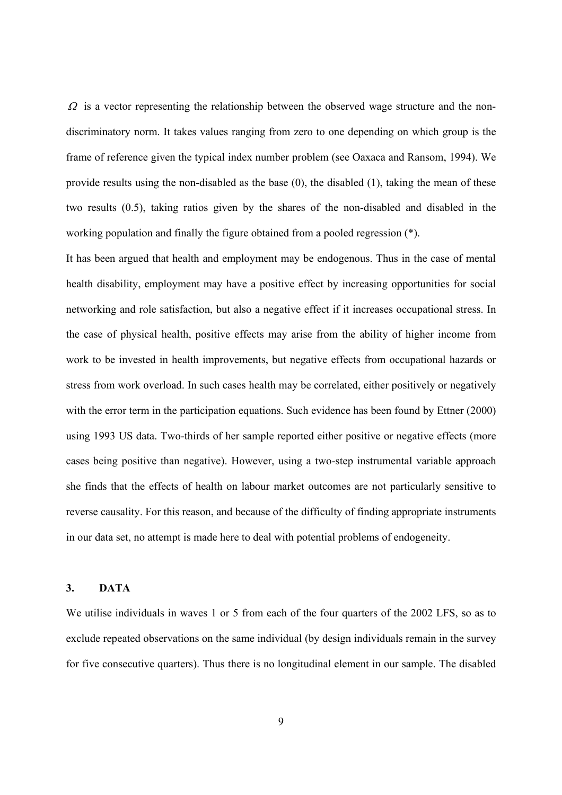$\Omega$  is a vector representing the relationship between the observed wage structure and the nondiscriminatory norm. It takes values ranging from zero to one depending on which group is the frame of reference given the typical index number problem (see Oaxaca and Ransom, 1994). We provide results using the non-disabled as the base (0), the disabled (1), taking the mean of these two results (0.5), taking ratios given by the shares of the non-disabled and disabled in the working population and finally the figure obtained from a pooled regression (\*).

It has been argued that health and employment may be endogenous. Thus in the case of mental health disability, employment may have a positive effect by increasing opportunities for social networking and role satisfaction, but also a negative effect if it increases occupational stress. In the case of physical health, positive effects may arise from the ability of higher income from work to be invested in health improvements, but negative effects from occupational hazards or stress from work overload. In such cases health may be correlated, either positively or negatively with the error term in the participation equations. Such evidence has been found by Ettner (2000) using 1993 US data. Two-thirds of her sample reported either positive or negative effects (more cases being positive than negative). However, using a two-step instrumental variable approach she finds that the effects of health on labour market outcomes are not particularly sensitive to reverse causality. For this reason, and because of the difficulty of finding appropriate instruments in our data set, no attempt is made here to deal with potential problems of endogeneity.

#### **3. DATA**

We utilise individuals in waves 1 or 5 from each of the four quarters of the 2002 LFS, so as to exclude repeated observations on the same individual (by design individuals remain in the survey for five consecutive quarters). Thus there is no longitudinal element in our sample. The disabled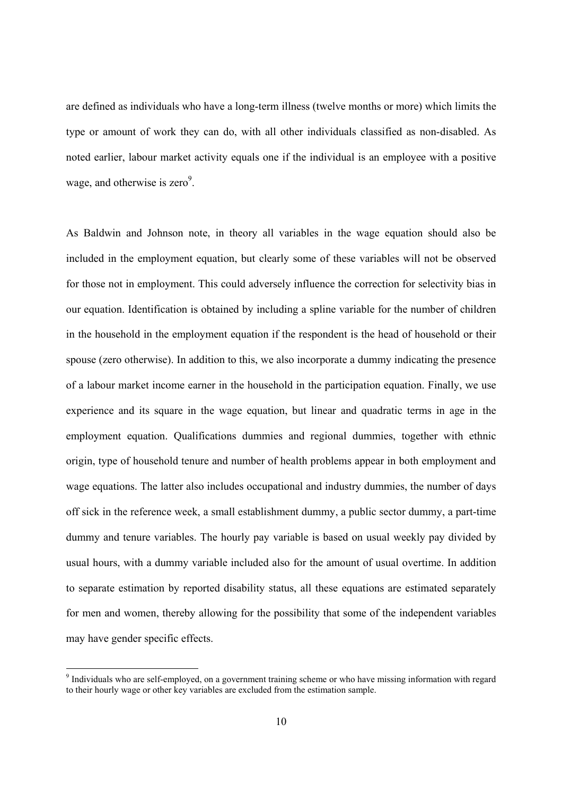are defined as individuals who have a long-term illness (twelve months or more) which limits the type or amount of work they can do, with all other individuals classified as non-disabled. As noted earlier, labour market activity equals one if the individual is an employee with a positive wage, and otherwise is  $zero<sup>9</sup>$ .

As Baldwin and Johnson note, in theory all variables in the wage equation should also be included in the employment equation, but clearly some of these variables will not be observed for those not in employment. This could adversely influence the correction for selectivity bias in our equation. Identification is obtained by including a spline variable for the number of children in the household in the employment equation if the respondent is the head of household or their spouse (zero otherwise). In addition to this, we also incorporate a dummy indicating the presence of a labour market income earner in the household in the participation equation. Finally, we use experience and its square in the wage equation, but linear and quadratic terms in age in the employment equation. Qualifications dummies and regional dummies, together with ethnic origin, type of household tenure and number of health problems appear in both employment and wage equations. The latter also includes occupational and industry dummies, the number of days off sick in the reference week, a small establishment dummy, a public sector dummy, a part-time dummy and tenure variables. The hourly pay variable is based on usual weekly pay divided by usual hours, with a dummy variable included also for the amount of usual overtime. In addition to separate estimation by reported disability status, all these equations are estimated separately for men and women, thereby allowing for the possibility that some of the independent variables may have gender specific effects.

-

<sup>&</sup>lt;sup>9</sup> Individuals who are self-employed, on a government training scheme or who have missing information with regard to their hourly wage or other key variables are excluded from the estimation sample.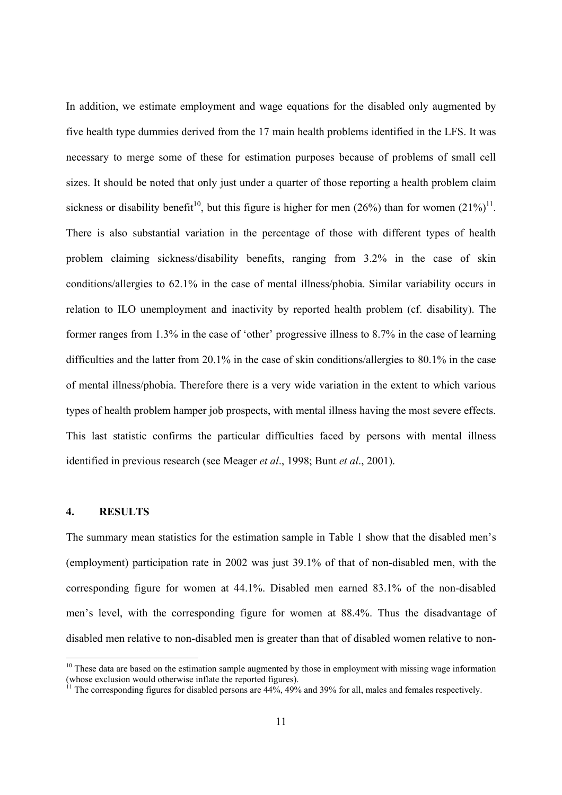In addition, we estimate employment and wage equations for the disabled only augmented by five health type dummies derived from the 17 main health problems identified in the LFS. It was necessary to merge some of these for estimation purposes because of problems of small cell sizes. It should be noted that only just under a quarter of those reporting a health problem claim sickness or disability benefit<sup>10</sup>, but this figure is higher for men (26%) than for women (21%)<sup>11</sup>. There is also substantial variation in the percentage of those with different types of health problem claiming sickness/disability benefits, ranging from 3.2% in the case of skin conditions/allergies to 62.1% in the case of mental illness/phobia. Similar variability occurs in relation to ILO unemployment and inactivity by reported health problem (cf. disability). The former ranges from 1.3% in the case of 'other' progressive illness to 8.7% in the case of learning difficulties and the latter from 20.1% in the case of skin conditions/allergies to 80.1% in the case of mental illness/phobia. Therefore there is a very wide variation in the extent to which various types of health problem hamper job prospects, with mental illness having the most severe effects. This last statistic confirms the particular difficulties faced by persons with mental illness identified in previous research (see Meager *et al*., 1998; Bunt *et al*., 2001).

#### **4. RESULTS**

-

The summary mean statistics for the estimation sample in Table 1 show that the disabled men's (employment) participation rate in 2002 was just 39.1% of that of non-disabled men, with the corresponding figure for women at 44.1%. Disabled men earned 83.1% of the non-disabled men's level, with the corresponding figure for women at 88.4%. Thus the disadvantage of disabled men relative to non-disabled men is greater than that of disabled women relative to non-

 $10$  These data are based on the estimation sample augmented by those in employment with missing wage information (whose exclusion would otherwise inflate the reported figures).

<sup>11</sup> The corresponding figures for disabled persons are 44%, 49% and 39% for all, males and females respectively.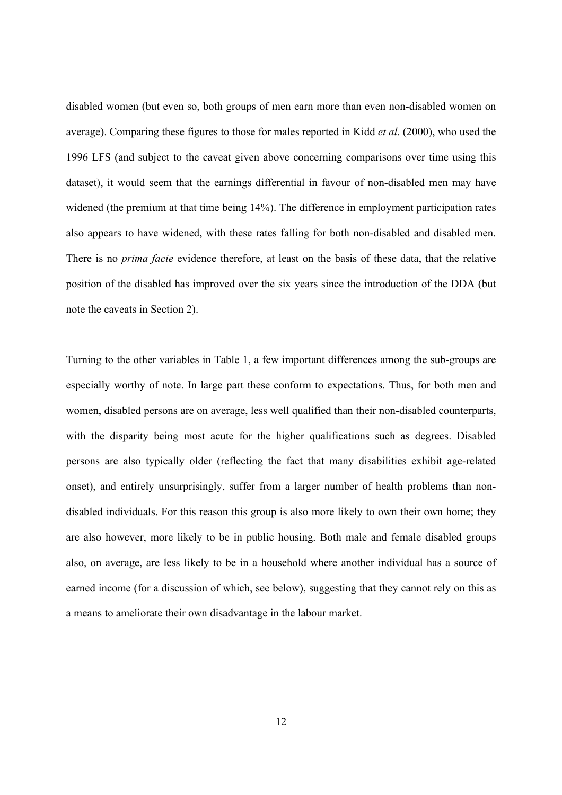disabled women (but even so, both groups of men earn more than even non-disabled women on average). Comparing these figures to those for males reported in Kidd *et al*. (2000), who used the 1996 LFS (and subject to the caveat given above concerning comparisons over time using this dataset), it would seem that the earnings differential in favour of non-disabled men may have widened (the premium at that time being 14%). The difference in employment participation rates also appears to have widened, with these rates falling for both non-disabled and disabled men. There is no *prima facie* evidence therefore, at least on the basis of these data, that the relative position of the disabled has improved over the six years since the introduction of the DDA (but note the caveats in Section 2).

Turning to the other variables in Table 1, a few important differences among the sub-groups are especially worthy of note. In large part these conform to expectations. Thus, for both men and women, disabled persons are on average, less well qualified than their non-disabled counterparts, with the disparity being most acute for the higher qualifications such as degrees. Disabled persons are also typically older (reflecting the fact that many disabilities exhibit age-related onset), and entirely unsurprisingly, suffer from a larger number of health problems than nondisabled individuals. For this reason this group is also more likely to own their own home; they are also however, more likely to be in public housing. Both male and female disabled groups also, on average, are less likely to be in a household where another individual has a source of earned income (for a discussion of which, see below), suggesting that they cannot rely on this as a means to ameliorate their own disadvantage in the labour market.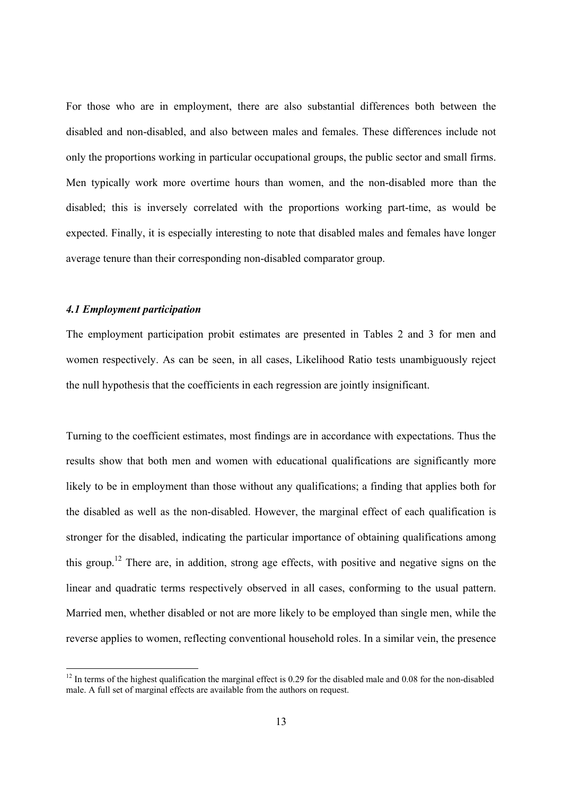For those who are in employment, there are also substantial differences both between the disabled and non-disabled, and also between males and females. These differences include not only the proportions working in particular occupational groups, the public sector and small firms. Men typically work more overtime hours than women, and the non-disabled more than the disabled; this is inversely correlated with the proportions working part-time, as would be expected. Finally, it is especially interesting to note that disabled males and females have longer average tenure than their corresponding non-disabled comparator group.

#### *4.1 Employment participation*

-

The employment participation probit estimates are presented in Tables 2 and 3 for men and women respectively. As can be seen, in all cases, Likelihood Ratio tests unambiguously reject the null hypothesis that the coefficients in each regression are jointly insignificant.

Turning to the coefficient estimates, most findings are in accordance with expectations. Thus the results show that both men and women with educational qualifications are significantly more likely to be in employment than those without any qualifications; a finding that applies both for the disabled as well as the non-disabled. However, the marginal effect of each qualification is stronger for the disabled, indicating the particular importance of obtaining qualifications among this group.12 There are, in addition, strong age effects, with positive and negative signs on the linear and quadratic terms respectively observed in all cases, conforming to the usual pattern. Married men, whether disabled or not are more likely to be employed than single men, while the reverse applies to women, reflecting conventional household roles. In a similar vein, the presence

 $12$  In terms of the highest qualification the marginal effect is 0.29 for the disabled male and 0.08 for the non-disabled male. A full set of marginal effects are available from the authors on request.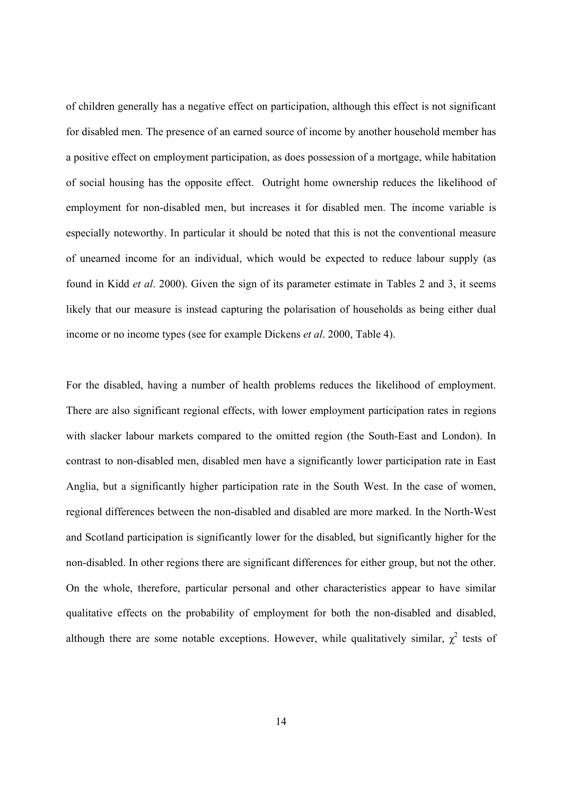of children generally has a negative effect on participation, although this effect is not significant for disabled men. The presence of an earned source of income by another household member has a positive effect on employment participation, as does possession of a mortgage, while habitation of social housing has the opposite effect. Outright home ownership reduces the likelihood of employment for non-disabled men, but increases it for disabled men. The income variable is especially noteworthy. In particular it should be noted that this is not the conventional measure of unearned income for an individual, which would be expected to reduce labour supply (as found in Kidd *et al*. 2000). Given the sign of its parameter estimate in Tables 2 and 3, it seems likely that our measure is instead capturing the polarisation of households as being either dual income or no income types (see for example Dickens *et al*. 2000, Table 4).

For the disabled, having a number of health problems reduces the likelihood of employment. There are also significant regional effects, with lower employment participation rates in regions with slacker labour markets compared to the omitted region (the South-East and London). In contrast to non-disabled men, disabled men have a significantly lower participation rate in East Anglia, but a significantly higher participation rate in the South West. In the case of women, regional differences between the non-disabled and disabled are more marked. In the North-West and Scotland participation is significantly lower for the disabled, but significantly higher for the non-disabled. In other regions there are significant differences for either group, but not the other. On the whole, therefore, particular personal and other characteristics appear to have similar qualitative effects on the probability of employment for both the non-disabled and disabled, although there are some notable exceptions. However, while qualitatively similar,  $\chi^2$  tests of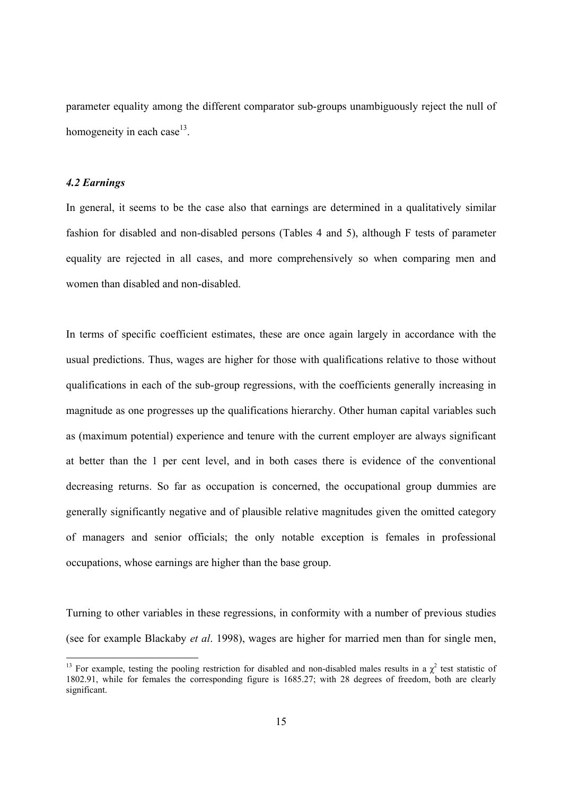parameter equality among the different comparator sub-groups unambiguously reject the null of homogeneity in each case<sup>13</sup>.

#### *4.2 Earnings*

-

In general, it seems to be the case also that earnings are determined in a qualitatively similar fashion for disabled and non-disabled persons (Tables 4 and 5), although F tests of parameter equality are rejected in all cases, and more comprehensively so when comparing men and women than disabled and non-disabled.

In terms of specific coefficient estimates, these are once again largely in accordance with the usual predictions. Thus, wages are higher for those with qualifications relative to those without qualifications in each of the sub-group regressions, with the coefficients generally increasing in magnitude as one progresses up the qualifications hierarchy. Other human capital variables such as (maximum potential) experience and tenure with the current employer are always significant at better than the 1 per cent level, and in both cases there is evidence of the conventional decreasing returns. So far as occupation is concerned, the occupational group dummies are generally significantly negative and of plausible relative magnitudes given the omitted category of managers and senior officials; the only notable exception is females in professional occupations, whose earnings are higher than the base group.

Turning to other variables in these regressions, in conformity with a number of previous studies (see for example Blackaby *et al*. 1998), wages are higher for married men than for single men,

<sup>&</sup>lt;sup>13</sup> For example, testing the pooling restriction for disabled and non-disabled males results in a  $\chi^2$  test statistic of 1802.91, while for females the corresponding figure is 1685.27; with 28 degrees of freedom, both are clearly significant.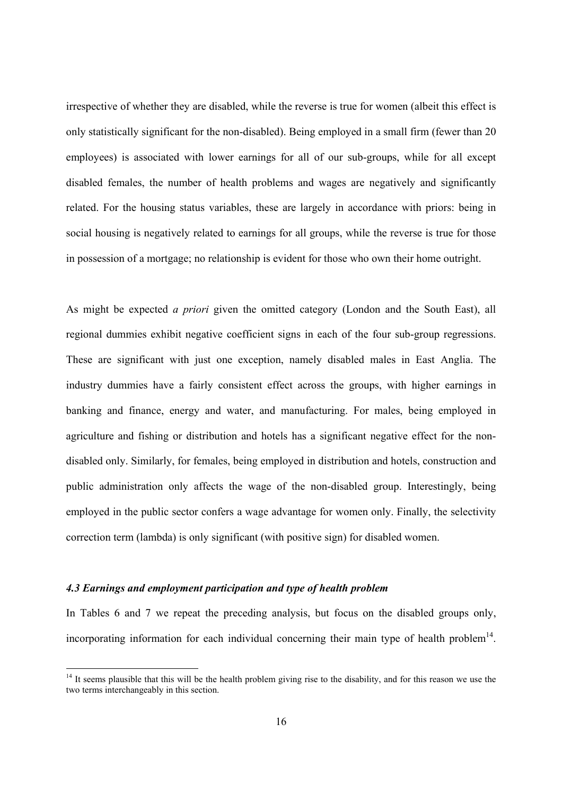irrespective of whether they are disabled, while the reverse is true for women (albeit this effect is only statistically significant for the non-disabled). Being employed in a small firm (fewer than 20 employees) is associated with lower earnings for all of our sub-groups, while for all except disabled females, the number of health problems and wages are negatively and significantly related. For the housing status variables, these are largely in accordance with priors: being in social housing is negatively related to earnings for all groups, while the reverse is true for those in possession of a mortgage; no relationship is evident for those who own their home outright.

As might be expected *a priori* given the omitted category (London and the South East), all regional dummies exhibit negative coefficient signs in each of the four sub-group regressions. These are significant with just one exception, namely disabled males in East Anglia. The industry dummies have a fairly consistent effect across the groups, with higher earnings in banking and finance, energy and water, and manufacturing. For males, being employed in agriculture and fishing or distribution and hotels has a significant negative effect for the nondisabled only. Similarly, for females, being employed in distribution and hotels, construction and public administration only affects the wage of the non-disabled group. Interestingly, being employed in the public sector confers a wage advantage for women only. Finally, the selectivity correction term (lambda) is only significant (with positive sign) for disabled women.

#### *4.3 Earnings and employment participation and type of health problem*

-

In Tables 6 and 7 we repeat the preceding analysis, but focus on the disabled groups only, incorporating information for each individual concerning their main type of health problem<sup>14</sup>.

 $14$  It seems plausible that this will be the health problem giving rise to the disability, and for this reason we use the two terms interchangeably in this section.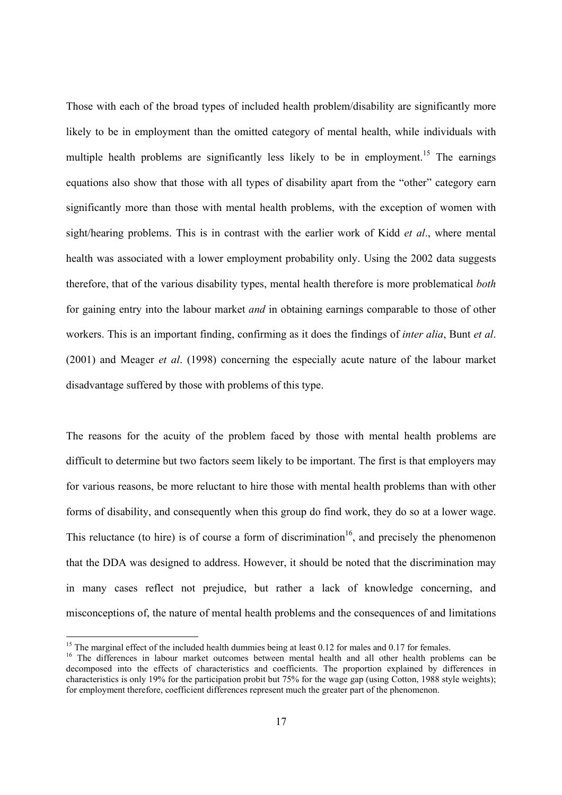Those with each of the broad types of included health problem/disability are significantly more likely to be in employment than the omitted category of mental health, while individuals with multiple health problems are significantly less likely to be in employment.<sup>15</sup> The earnings equations also show that those with all types of disability apart from the "other" category earn significantly more than those with mental health problems, with the exception of women with sight/hearing problems. This is in contrast with the earlier work of Kidd *et al*., where mental health was associated with a lower employment probability only. Using the 2002 data suggests therefore, that of the various disability types, mental health therefore is more problematical *both*  for gaining entry into the labour market *and* in obtaining earnings comparable to those of other workers. This is an important finding, confirming as it does the findings of *inter alia*, Bunt *et al*. (2001) and Meager *et al*. (1998) concerning the especially acute nature of the labour market disadvantage suffered by those with problems of this type.

The reasons for the acuity of the problem faced by those with mental health problems are difficult to determine but two factors seem likely to be important. The first is that employers may for various reasons, be more reluctant to hire those with mental health problems than with other forms of disability, and consequently when this group do find work, they do so at a lower wage. This reluctance (to hire) is of course a form of discrimination<sup>16</sup>, and precisely the phenomenon that the DDA was designed to address. However, it should be noted that the discrimination may in many cases reflect not prejudice, but rather a lack of knowledge concerning, and misconceptions of, the nature of mental health problems and the consequences of and limitations

 $\overline{a}$ 

<sup>&</sup>lt;sup>15</sup> The marginal effect of the included health dummies being at least  $0.12$  for males and  $0.17$  for females.

<sup>&</sup>lt;sup>16</sup> The differences in labour market outcomes between mental health and all other health problems can be decomposed into the effects of characteristics and coefficients. The proportion explained by differences in characteristics is only 19% for the participation probit but 75% for the wage gap (using Cotton, 1988 style weights); for employment therefore, coefficient differences represent much the greater part of the phenomenon.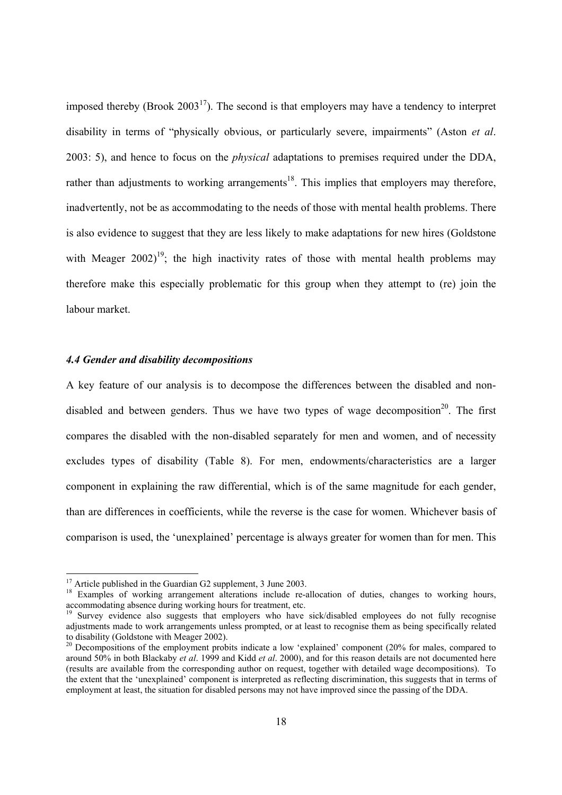imposed thereby (Brook  $2003^{17}$ ). The second is that employers may have a tendency to interpret disability in terms of "physically obvious, or particularly severe, impairments" (Aston *et al*. 2003: 5), and hence to focus on the *physical* adaptations to premises required under the DDA, rather than adjustments to working arrangements<sup>18</sup>. This implies that employers may therefore, inadvertently, not be as accommodating to the needs of those with mental health problems. There is also evidence to suggest that they are less likely to make adaptations for new hires (Goldstone with Meager  $2002$ <sup>19</sup>; the high inactivity rates of those with mental health problems may therefore make this especially problematic for this group when they attempt to (re) join the labour market.

#### *4.4 Gender and disability decompositions*

A key feature of our analysis is to decompose the differences between the disabled and nondisabled and between genders. Thus we have two types of wage decomposition<sup>20</sup>. The first compares the disabled with the non-disabled separately for men and women, and of necessity excludes types of disability (Table 8). For men, endowments/characteristics are a larger component in explaining the raw differential, which is of the same magnitude for each gender, than are differences in coefficients, while the reverse is the case for women. Whichever basis of comparison is used, the 'unexplained' percentage is always greater for women than for men. This

 $\overline{a}$ 

 $17$  Article published in the Guardian G2 supplement, 3 June 2003.

<sup>&</sup>lt;sup>18</sup> Examples of working arrangement alterations include re-allocation of duties, changes to working hours, accommodating absence during working hours for treatment, etc.

<sup>&</sup>lt;sup>19</sup> Survey evidence also suggests that employers who have sick/disabled employees do not fully recognise adjustments made to work arrangements unless prompted, or at least to recognise them as being specifically related to disability (Goldstone with Meager 2002).

<sup>&</sup>lt;sup>20</sup> Decompositions of the employment probits indicate a low 'explained' component (20% for males, compared to around 50% in both Blackaby *et al*. 1999 and Kidd *et al*. 2000), and for this reason details are not documented here (results are available from the corresponding author on request, together with detailed wage decompositions). To the extent that the 'unexplained' component is interpreted as reflecting discrimination, this suggests that in terms of employment at least, the situation for disabled persons may not have improved since the passing of the DDA.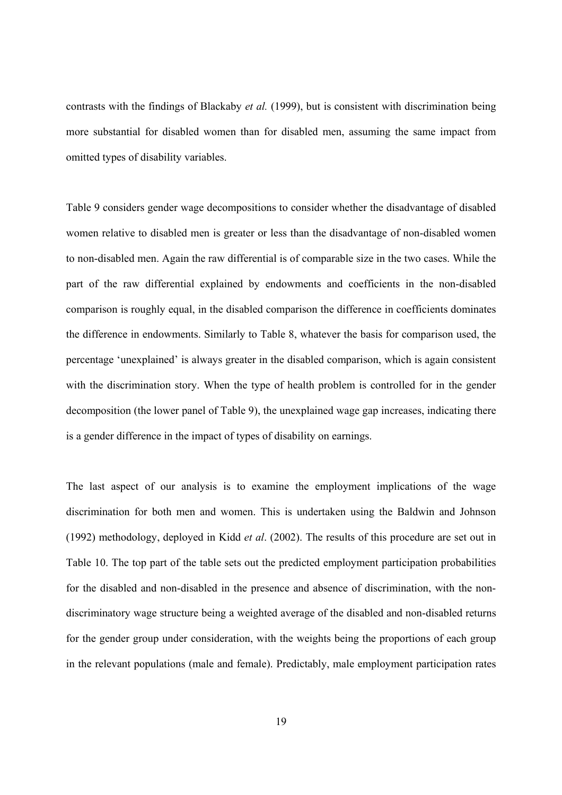contrasts with the findings of Blackaby *et al.* (1999), but is consistent with discrimination being more substantial for disabled women than for disabled men, assuming the same impact from omitted types of disability variables.

Table 9 considers gender wage decompositions to consider whether the disadvantage of disabled women relative to disabled men is greater or less than the disadvantage of non-disabled women to non-disabled men. Again the raw differential is of comparable size in the two cases. While the part of the raw differential explained by endowments and coefficients in the non-disabled comparison is roughly equal, in the disabled comparison the difference in coefficients dominates the difference in endowments. Similarly to Table 8, whatever the basis for comparison used, the percentage 'unexplained' is always greater in the disabled comparison, which is again consistent with the discrimination story. When the type of health problem is controlled for in the gender decomposition (the lower panel of Table 9), the unexplained wage gap increases, indicating there is a gender difference in the impact of types of disability on earnings.

The last aspect of our analysis is to examine the employment implications of the wage discrimination for both men and women. This is undertaken using the Baldwin and Johnson (1992) methodology, deployed in Kidd *et al*. (2002). The results of this procedure are set out in Table 10. The top part of the table sets out the predicted employment participation probabilities for the disabled and non-disabled in the presence and absence of discrimination, with the nondiscriminatory wage structure being a weighted average of the disabled and non-disabled returns for the gender group under consideration, with the weights being the proportions of each group in the relevant populations (male and female). Predictably, male employment participation rates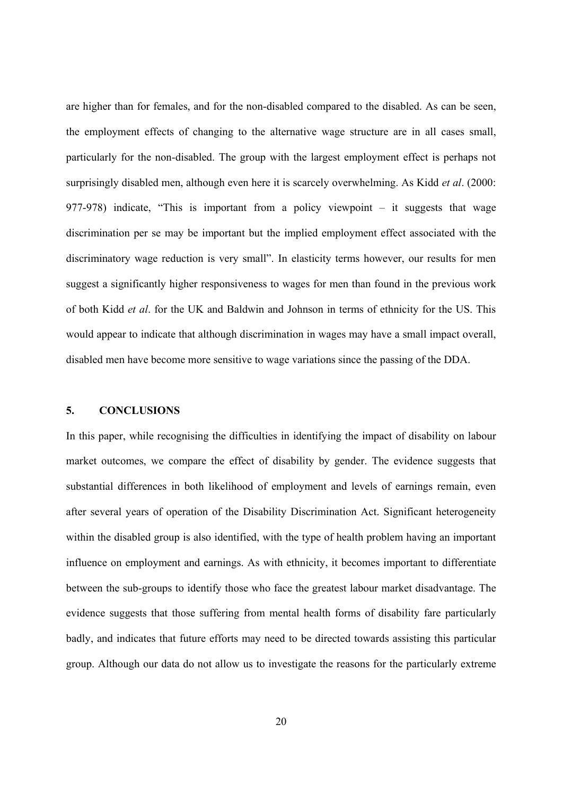are higher than for females, and for the non-disabled compared to the disabled. As can be seen, the employment effects of changing to the alternative wage structure are in all cases small, particularly for the non-disabled. The group with the largest employment effect is perhaps not surprisingly disabled men, although even here it is scarcely overwhelming. As Kidd *et al*. (2000: 977-978) indicate, "This is important from a policy viewpoint – it suggests that wage discrimination per se may be important but the implied employment effect associated with the discriminatory wage reduction is very small". In elasticity terms however, our results for men suggest a significantly higher responsiveness to wages for men than found in the previous work of both Kidd *et al*. for the UK and Baldwin and Johnson in terms of ethnicity for the US. This would appear to indicate that although discrimination in wages may have a small impact overall, disabled men have become more sensitive to wage variations since the passing of the DDA.

#### **5. CONCLUSIONS**

In this paper, while recognising the difficulties in identifying the impact of disability on labour market outcomes, we compare the effect of disability by gender. The evidence suggests that substantial differences in both likelihood of employment and levels of earnings remain, even after several years of operation of the Disability Discrimination Act. Significant heterogeneity within the disabled group is also identified, with the type of health problem having an important influence on employment and earnings. As with ethnicity, it becomes important to differentiate between the sub-groups to identify those who face the greatest labour market disadvantage. The evidence suggests that those suffering from mental health forms of disability fare particularly badly, and indicates that future efforts may need to be directed towards assisting this particular group. Although our data do not allow us to investigate the reasons for the particularly extreme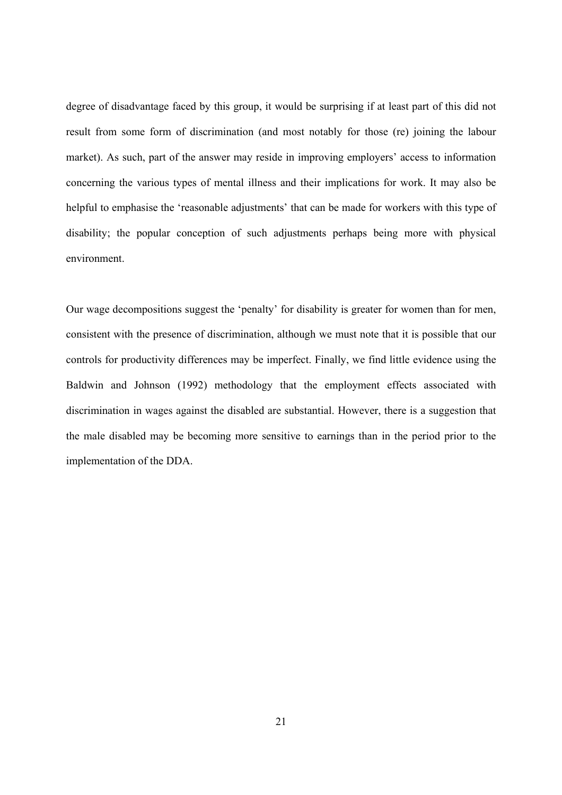degree of disadvantage faced by this group, it would be surprising if at least part of this did not result from some form of discrimination (and most notably for those (re) joining the labour market). As such, part of the answer may reside in improving employers' access to information concerning the various types of mental illness and their implications for work. It may also be helpful to emphasise the 'reasonable adjustments' that can be made for workers with this type of disability; the popular conception of such adjustments perhaps being more with physical environment.

Our wage decompositions suggest the 'penalty' for disability is greater for women than for men, consistent with the presence of discrimination, although we must note that it is possible that our controls for productivity differences may be imperfect. Finally, we find little evidence using the Baldwin and Johnson (1992) methodology that the employment effects associated with discrimination in wages against the disabled are substantial. However, there is a suggestion that the male disabled may be becoming more sensitive to earnings than in the period prior to the implementation of the DDA.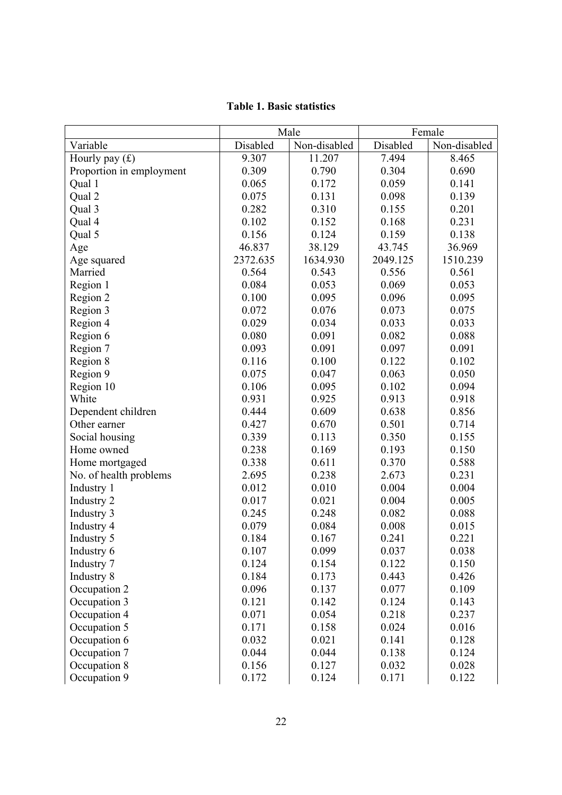|                          | Male     |              | Female   |              |
|--------------------------|----------|--------------|----------|--------------|
| Variable                 | Disabled | Non-disabled | Disabled | Non-disabled |
| Hourly pay $(f)$         | 9.307    | 11.207       | 7.494    | 8.465        |
| Proportion in employment | 0.309    | 0.790        | 0.304    | 0.690        |
| Qual 1                   | 0.065    | 0.172        | 0.059    | 0.141        |
| Qual 2                   | 0.075    | 0.131        | 0.098    | 0.139        |
| Qual 3                   | 0.282    | 0.310        | 0.155    | 0.201        |
| Qual 4                   | 0.102    | 0.152        | 0.168    | 0.231        |
| Qual 5                   | 0.156    | 0.124        | 0.159    | 0.138        |
| Age                      | 46.837   | 38.129       | 43.745   | 36.969       |
| Age squared              | 2372.635 | 1634.930     | 2049.125 | 1510.239     |
| Married                  | 0.564    | 0.543        | 0.556    | 0.561        |
| Region 1                 | 0.084    | 0.053        | 0.069    | 0.053        |
| Region 2                 | 0.100    | 0.095        | 0.096    | 0.095        |
| Region 3                 | 0.072    | 0.076        | 0.073    | 0.075        |
| Region 4                 | 0.029    | 0.034        | 0.033    | 0.033        |
| Region 6                 | 0.080    | 0.091        | 0.082    | 0.088        |
| Region 7                 | 0.093    | 0.091        | 0.097    | 0.091        |
| Region 8                 | 0.116    | 0.100        | 0.122    | 0.102        |
| Region 9                 | 0.075    | 0.047        | 0.063    | 0.050        |
| Region 10                | 0.106    | 0.095        | 0.102    | 0.094        |
| White                    | 0.931    | 0.925        | 0.913    | 0.918        |
| Dependent children       | 0.444    | 0.609        | 0.638    | 0.856        |
| Other earner             | 0.427    | 0.670        | 0.501    | 0.714        |
| Social housing           | 0.339    | 0.113        | 0.350    | 0.155        |
| Home owned               | 0.238    | 0.169        | 0.193    | 0.150        |
| Home mortgaged           | 0.338    | 0.611        | 0.370    | 0.588        |
| No. of health problems   | 2.695    | 0.238        | 2.673    | 0.231        |
| Industry 1               | 0.012    | 0.010        | 0.004    | 0.004        |
| Industry 2               | 0.017    | 0.021        | 0.004    | 0.005        |
| Industry 3               | 0.245    | 0.248        | 0.082    | 0.088        |
| Industry 4               | 0.079    | 0.084        | 0.008    | 0.015        |
| Industry 5               | 0.184    | 0.167        | 0.241    | 0.221        |
| Industry 6               | 0.107    | 0.099        | 0.037    | 0.038        |
| Industry 7               | 0.124    | 0.154        | 0.122    | 0.150        |
| Industry 8               | 0.184    | 0.173        | 0.443    | 0.426        |
| Occupation 2             | 0.096    | 0.137        | 0.077    | 0.109        |
| Occupation 3             | 0.121    | 0.142        | 0.124    | 0.143        |
| Occupation 4             | 0.071    | 0.054        | 0.218    | 0.237        |
| Occupation 5             | 0.171    | 0.158        | 0.024    | 0.016        |
| Occupation 6             | 0.032    | 0.021        | 0.141    | 0.128        |
| Occupation 7             | 0.044    | 0.044        | 0.138    | 0.124        |
| Occupation 8             | 0.156    | 0.127        | 0.032    | 0.028        |
| Occupation 9             | 0.172    | 0.124        | 0.171    | 0.122        |

**Table 1. Basic statistics**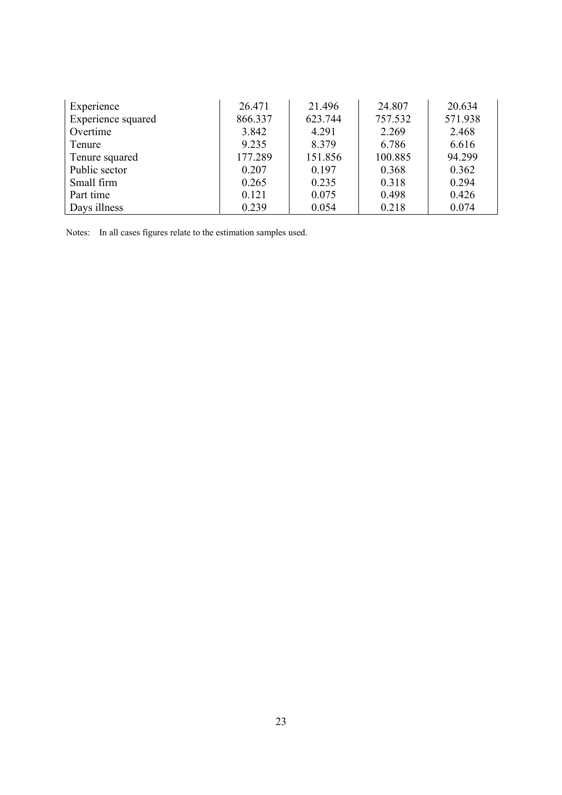| Experience         | 26.471  | 21.496  | 24.807  | 20.634  |
|--------------------|---------|---------|---------|---------|
| Experience squared | 866.337 | 623.744 | 757.532 | 571.938 |
| Overtime           | 3.842   | 4.291   | 2.269   | 2.468   |
| Tenure             | 9.235   | 8.379   | 6.786   | 6.616   |
| Tenure squared     | 177.289 | 151.856 | 100.885 | 94.299  |
| Public sector      | 0.207   | 0.197   | 0.368   | 0.362   |
| Small firm         | 0.265   | 0.235   | 0.318   | 0.294   |
| Part time          | 0.121   | 0.075   | 0.498   | 0.426   |
| Days illness       | 0.239   | 0.054   | 0.218   | 0.074   |

Notes: In all cases figures relate to the estimation samples used.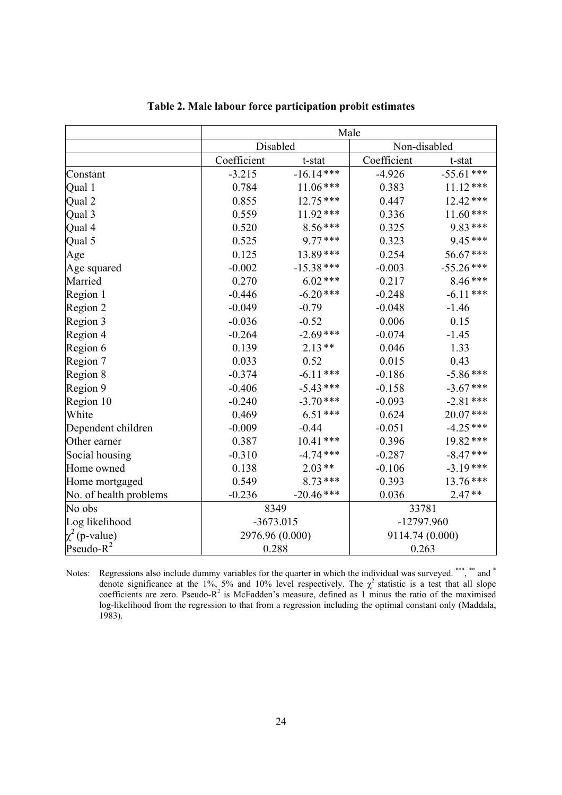|                        | Male            |              |              |                 |  |
|------------------------|-----------------|--------------|--------------|-----------------|--|
|                        | Disabled        |              | Non-disabled |                 |  |
|                        | Coefficient     | t-stat       | Coefficient  | t-stat          |  |
| Constant               | $-3.215$        | $-16.14***$  | $-4.926$     | $-55.61$ ***    |  |
| Qual 1                 | 0.784           | $11.06***$   | 0.383        | $11.12***$      |  |
| Qual 2                 | 0.855           | $12.75***$   | 0.447        | 12.42***        |  |
| Qual 3                 | 0.559           | $11.92***$   | 0.336        | $11.60***$      |  |
| Qual 4                 | 0.520           | $8.56***$    | 0.325        | 9.83***         |  |
| Qual 5                 | 0.525           | 9.77***      | 0.323        | 9.45***         |  |
| Age                    | 0.125           | 13.89***     | 0.254        | 56.67***        |  |
| Age squared            | $-0.002$        | $-15.38$ *** | $-0.003$     | $-55.26$ ***    |  |
| Married                | 0.270           | $6.02$ ***   | 0.217        | $8.46***$       |  |
| Region 1               | $-0.446$        | $-6.20$ ***  | $-0.248$     | $-6.11***$      |  |
| Region 2               | $-0.049$        | $-0.79$      | $-0.048$     | $-1.46$         |  |
| Region 3               | $-0.036$        | $-0.52$      | 0.006        | 0.15            |  |
| Region 4               | $-0.264$        | $-2.69$ ***  | $-0.074$     | $-1.45$         |  |
| Region 6               | 0.139           | $2.13**$     | 0.046        | 1.33            |  |
| Region 7               | 0.033           | 0.52         | 0.015        | 0.43            |  |
| Region 8               | $-0.374$        | $-6.11***$   | $-0.186$     | $-5.86***$      |  |
| Region 9               | $-0.406$        | $-5.43$ ***  | $-0.158$     | $-3.67$ ***     |  |
| Region 10              | $-0.240$        | $-3.70$ ***  | $-0.093$     | $-2.81$ ***     |  |
| White                  | 0.469           | $6.51***$    | 0.624        | 20.07***        |  |
| Dependent children     | $-0.009$        | $-0.44$      | $-0.051$     | $-4.25$ ***     |  |
| Other earner           | 0.387           | $10.41***$   | 0.396        | 19.82***        |  |
| Social housing         | $-0.310$        | $-4.74$ ***  | $-0.287$     | $-8.47$ ***     |  |
| Home owned             | 0.138           | $2.03**$     | $-0.106$     | $-3.19***$      |  |
| Home mortgaged         | 0.549           | $8.73***$    | 0.393        | $13.76***$      |  |
| No. of health problems | $-0.236$        | $-20.46$ *** | 0.036        | $2.47**$        |  |
| No obs                 | 8349            |              | 33781        |                 |  |
| Log likelihood         | $-3673.015$     |              | -12797.960   |                 |  |
| $\chi^2$ (p-value)     | 2976.96 (0.000) |              |              | 9114.74 (0.000) |  |
| Pseudo- $R^2$          | 0.288           |              | 0.263        |                 |  |

Notes: Regressions also include dummy variables for the quarter in which the individual was surveyed. \*\*\*, \*\* and \* denote significance at the 1%, 5% and 10% level respectively. The  $\chi^2$  statistic is a test that all slope coefficients are zero. Pseudo- $R^2$  is McFadden's measure, defined as 1 minus the ratio of the maximised log-likelihood from the regression to that from a regression including the optimal constant only (Maddala, 1983).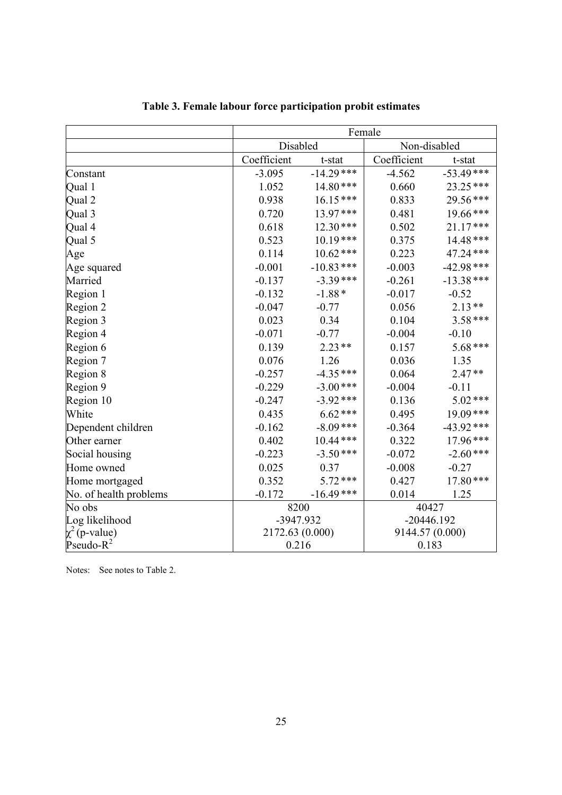|                        | Female          |              |                 |              |  |
|------------------------|-----------------|--------------|-----------------|--------------|--|
|                        | Disabled        |              | Non-disabled    |              |  |
|                        | Coefficient     | t-stat       | Coefficient     | t-stat       |  |
| Constant               | $-3.095$        | $-14.29$ *** | $-4.562$        | $-53.49***$  |  |
| Qual 1                 | 1.052           | 14.80***     | 0.660           | 23.25***     |  |
| Qual 2                 | 0.938           | $16.15***$   | 0.833           | 29.56***     |  |
| Qual 3                 | 0.720           | 13.97***     | 0.481           | 19.66***     |  |
| Qual 4                 | 0.618           | $12.30***$   | 0.502           | $21.17***$   |  |
| Qual 5                 | 0.523           | $10.19***$   | 0.375           | 14.48***     |  |
| Age                    | 0.114           | $10.62$ ***  | 0.223           | 47.24 ***    |  |
| Age squared            | $-0.001$        | $-10.83$ *** | $-0.003$        | $-42.98$ *** |  |
| Married                | $-0.137$        | $-3.39***$   | $-0.261$        | $-13.38$ *** |  |
| Region 1               | $-0.132$        | $-1.88*$     | $-0.017$        | $-0.52$      |  |
| Region 2               | $-0.047$        | $-0.77$      | 0.056           | $2.13**$     |  |
| Region 3               | 0.023           | 0.34         | 0.104           | $3.58***$    |  |
| Region 4               | $-0.071$        | $-0.77$      | $-0.004$        | $-0.10$      |  |
| Region 6               | 0.139           | $2.23**$     | 0.157           | 5.68***      |  |
| Region 7               | 0.076           | 1.26         | 0.036           | 1.35         |  |
| Region 8               | $-0.257$        | $-4.35***$   | 0.064           | $2.47**$     |  |
| Region 9               | $-0.229$        | $-3.00$ ***  | $-0.004$        | $-0.11$      |  |
| Region 10              | $-0.247$        | $-3.92$ ***  | 0.136           | 5.02***      |  |
| White                  | 0.435           | $6.62$ ***   | 0.495           | 19.09***     |  |
| Dependent children     | $-0.162$        | $-8.09$ ***  | $-0.364$        | $-43.92$ *** |  |
| Other earner           | 0.402           | $10.44$ ***  | 0.322           | 17.96***     |  |
| Social housing         | $-0.223$        | $-3.50***$   | $-0.072$        | $-2.60$ ***  |  |
| Home owned             | 0.025           | 0.37         | $-0.008$        | $-0.27$      |  |
| Home mortgaged         | 0.352           | $5.72***$    | 0.427           | 17.80***     |  |
| No. of health problems | $-0.172$        | $-16.49$ *** | 0.014           | 1.25         |  |
| No obs                 | 8200            |              | 40427           |              |  |
| Log likelihood         | -3947.932       |              | $-20446.192$    |              |  |
| $\chi^2$ (p-value)     | 2172.63 (0.000) |              | 9144.57 (0.000) |              |  |
| Pseudo- $R^2$          | 0.216           |              | 0.183           |              |  |

## **Table 3. Female labour force participation probit estimates**

Notes: See notes to Table 2.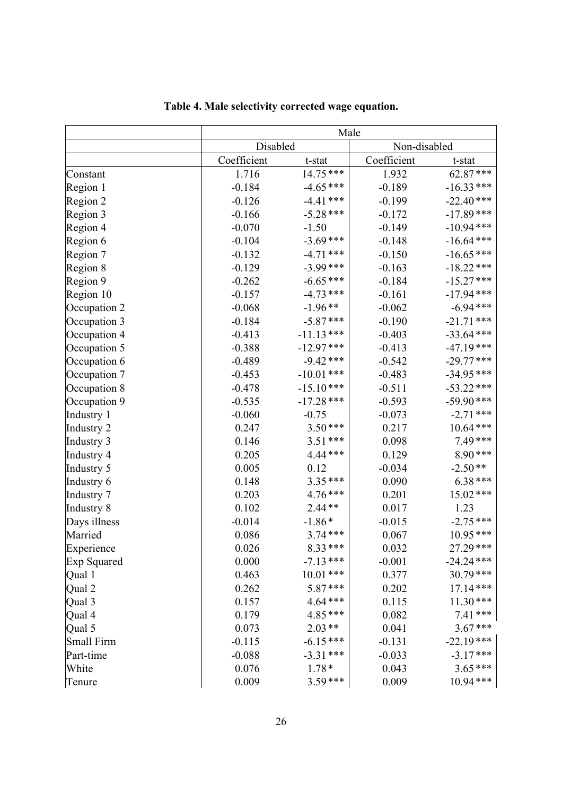|              | Male        |              |              |              |
|--------------|-------------|--------------|--------------|--------------|
|              | Disabled    |              | Non-disabled |              |
|              | Coefficient | t-stat       | Coefficient  | t-stat       |
| Constant     | 1.716       | $14.75***$   | 1.932        | 62.87***     |
| Region 1     | $-0.184$    | $-4.65***$   | $-0.189$     | $-16.33***$  |
| Region 2     | $-0.126$    | $-4.41$ ***  | $-0.199$     | $-22.40***$  |
| Region 3     | $-0.166$    | $-5.28$ ***  | $-0.172$     | $-17.89$ *** |
| Region 4     | $-0.070$    | $-1.50$      | $-0.149$     | $-10.94$ *** |
| Region 6     | $-0.104$    | $-3.69$ ***  | $-0.148$     | $-16.64$ *** |
| Region 7     | $-0.132$    | $-4.71$ ***  | $-0.150$     | $-16.65***$  |
| Region 8     | $-0.129$    | $-3.99$ ***  | $-0.163$     | $-18.22$ *** |
| Region 9     | $-0.262$    | $-6.65***$   | $-0.184$     | $-15.27$ *** |
| Region 10    | $-0.157$    | $-4.73$ ***  | $-0.161$     | $-17.94***$  |
| Occupation 2 | $-0.068$    | $-1.96**$    | $-0.062$     | $-6.94$ ***  |
| Occupation 3 | $-0.184$    | $-5.87***$   | $-0.190$     | $-21.71$ *** |
| Occupation 4 | $-0.413$    | $-11.13***$  | $-0.403$     | $-33.64$ *** |
| Occupation 5 | $-0.388$    | $-12.97***$  | $-0.413$     | $-47.19***$  |
| Occupation 6 | $-0.489$    | $-9.42$ ***  | $-0.542$     | $-29.77$ *** |
| Occupation 7 | $-0.453$    | $-10.01$ *** | $-0.483$     | $-34.95***$  |
| Occupation 8 | $-0.478$    | $-15.10***$  | $-0.511$     | $-53.22$ *** |
| Occupation 9 | $-0.535$    | $-17.28$ *** | $-0.593$     | $-59.90$ *** |
| Industry 1   | $-0.060$    | $-0.75$      | $-0.073$     | $-2.71$ ***  |
| Industry 2   | 0.247       | $3.50***$    | 0.217        | $10.64$ ***  |
| Industry 3   | 0.146       | $3.51***$    | 0.098        | $7.49***$    |
| Industry 4   | 0.205       | 4.44***      | 0.129        | 8.90***      |
| Industry 5   | 0.005       | 0.12         | $-0.034$     | $-2.50**$    |
| Industry 6   | 0.148       | 3.35***      | 0.090        | $6.38***$    |
| Industry 7   | 0.203       | 4.76***      | 0.201        | 15.02 ***    |
| Industry 8   | 0.102       | $2.44**$     | 0.017        | 1.23         |
| Days illness | $-0.014$    | $-1.86*$     | $-0.015$     | $-2.75***$   |
| Married      | 0.086       | $3.74***$    | 0.067        | $10.95***$   |
| Experience   | 0.026       | 8.33***      | 0.032        | $27.29***$   |
| Exp Squared  | 0.000       | $-7.13***$   | $-0.001$     | $-24.24$ *** |
| Qual 1       | 0.463       | $10.01***$   | 0.377        | 30.79***     |
| Qual 2       | 0.262       | 5.87***      | 0.202        | $17.14***$   |
| Qual 3       | 0.157       | 4.64***      | 0.115        | $11.30***$   |
| Qual 4       | 0.179       | 4.85***      | 0.082        | $7.41***$    |
| Qual 5       | 0.073       | $2.03**$     | 0.041        | $3.67***$    |
| Small Firm   | $-0.115$    | $-6.15***$   | $-0.131$     | $-22.19***$  |
| Part-time    | $-0.088$    | $-3.31***$   | $-0.033$     | $-3.17***$   |
| White        | 0.076       | $1.78*$      | 0.043        | $3.65***$    |
| Tenure       | 0.009       | $3.59***$    | 0.009        | $10.94***$   |

**Table 4. Male selectivity corrected wage equation.**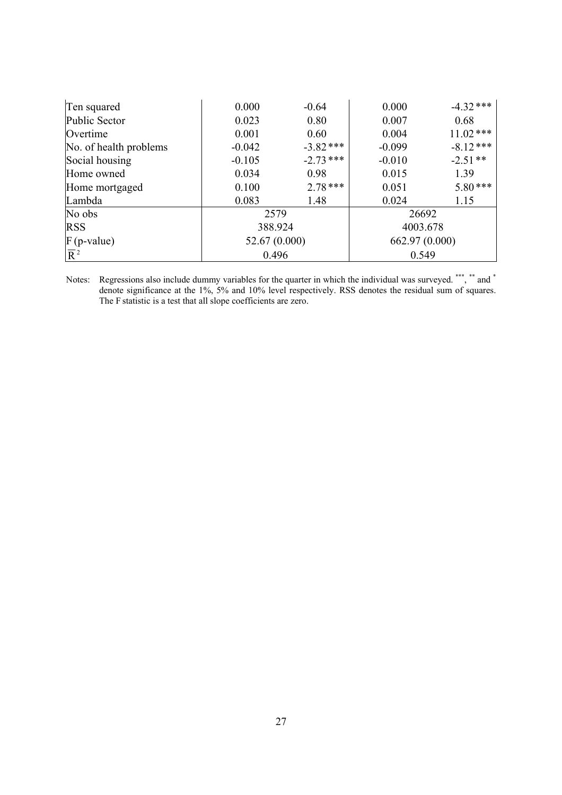| Ten squared            | 0.000    | $-0.64$       | 0.000    | $-4.32$ ***    |
|------------------------|----------|---------------|----------|----------------|
| Public Sector          | 0.023    | 0.80          | 0.007    | 0.68           |
| Overtime               | 0.001    | 0.60          | 0.004    | $11.02$ ***    |
| No. of health problems | $-0.042$ | $-3.82$ ***   | $-0.099$ | $-8.12***$     |
| Social housing         | $-0.105$ | $-2.73$ ***   | $-0.010$ | $-2.51**$      |
| Home owned             | 0.034    | 0.98          | 0.015    | 1.39           |
| Home mortgaged         | 0.100    | $2.78***$     | 0.051    | $5.80***$      |
| Lambda                 | 0.083    | 1.48          | 0.024    | 1.15           |
| No obs                 | 2579     |               | 26692    |                |
| <b>RSS</b>             | 388.924  |               | 4003.678 |                |
| $F$ (p-value)          |          | 52.67 (0.000) |          | 662.97 (0.000) |
| $\overline{R}^2$       | 0.496    |               | 0.549    |                |

Notes: Regressions also include dummy variables for the quarter in which the individual was surveyed. \*\*\*, \*\* and \* denote significance at the 1%, 5% and 10% level respectively. RSS denotes the residual sum of squares. The F statistic is a test that all slope coefficients are zero.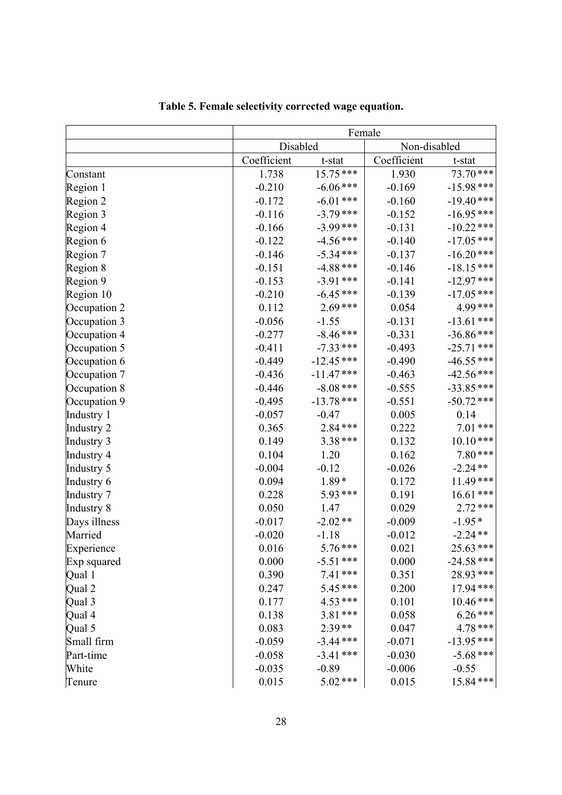|              | Female      |              |              |              |
|--------------|-------------|--------------|--------------|--------------|
|              | Disabled    |              | Non-disabled |              |
|              | Coefficient | t-stat       | Coefficient  | t-stat       |
| Constant     | 1.738       | 15.75 ***    | 1.930        | 73.70***     |
| Region 1     | $-0.210$    | $-6.06$ ***  | $-0.169$     | $-15.98***$  |
| Region 2     | $-0.172$    | $-6.01$ ***  | $-0.160$     | $-19.40***$  |
| Region 3     | $-0.116$    | $-3.79$ ***  | $-0.152$     | $-16.95***$  |
| Region 4     | $-0.166$    | $-3.99***$   | $-0.131$     | $-10.22$ *** |
| Region 6     | $-0.122$    | $-4.56$ ***  | $-0.140$     | $-17.05$ *** |
| Region 7     | $-0.146$    | $-5.34***$   | $-0.137$     | $-16.20***$  |
| Region 8     | $-0.151$    | $-4.88$ ***  | $-0.146$     | $-18.15***$  |
| Region 9     | $-0.153$    | $-3.91***$   | $-0.141$     | $-12.97***$  |
| Region 10    | $-0.210$    | $-6.45***$   | $-0.139$     | $-17.05$ *** |
| Occupation 2 | 0.112       | $2.69***$    | 0.054        | 4.99***      |
| Occupation 3 | $-0.056$    | $-1.55$      | $-0.131$     | $-13.61$ *** |
| Occupation 4 | $-0.277$    | $-8.46$ ***  | $-0.331$     | $-36.86$ *** |
| Occupation 5 | $-0.411$    | $-7.33$ ***  | $-0.493$     | $-25.71$ *** |
| Occupation 6 | $-0.449$    | $-12.45$ *** | $-0.490$     | $-46.55$ *** |
| Occupation 7 | $-0.436$    | $-11.47***$  | $-0.463$     | $-42.56$ *** |
| Occupation 8 | $-0.446$    | $-8.08$ ***  | $-0.555$     | $-33.85***$  |
| Occupation 9 | $-0.495$    | $-13.78$ *** | $-0.551$     | $-50.72$ *** |
| Industry 1   | $-0.057$    | $-0.47$      | 0.005        | 0.14         |
| Industry 2   | 0.365       | 2.84***      | 0.222        | $7.01***$    |
| Industry 3   | 0.149       | 3.38 ***     | 0.132        | $10.10***$   |
| Industry 4   | 0.104       | 1.20         | 0.162        | $7.80***$    |
| Industry 5   | $-0.004$    | $-0.12$      | $-0.026$     | $-2.24**$    |
| Industry 6   | 0.094       | $1.89*$      | 0.172        | $11.49***$   |
| Industry 7   | 0.228       | 5.93***      | 0.191        | $16.61***$   |
| Industry 8   | 0.050       | 1.47         | 0.029        | $2.72***$    |
| Days illness | $-0.017$    | $-2.02**$    | $-0.009$     | $-1.95*$     |
| Married      | $-0.020$    | $-1.18$      | $-0.012$     | $-2.24**$    |
| Experience   | 0.016       | $5.76***$    | 0.021        | 25.63 ***    |
| Exp squared  | 0.000       | $-5.51$ ***  | 0.000        | $-24.58$ *** |
| Qual 1       | 0.390       | $7.41***$    | 0.351        | 28.93***     |
| Qual 2       | 0.247       | 5.45***      | 0.200        | 17.94***     |
| Qual 3       | 0.177       | $4.53***$    | 0.101        | $10.46***$   |
| Qual 4       | 0.138       | 3.81 ***     | 0.058        | $6.26***$    |
| Qual 5       | 0.083       | $2.39**$     | 0.047        | $4.78***$    |
| Small firm   | $-0.059$    | $-3.44$ ***  | $-0.071$     | $-13.95***$  |
| Part-time    | $-0.058$    | $-3.41$ ***  | $-0.030$     | $-5.68$ ***  |
| White        | $-0.035$    | $-0.89$      | $-0.006$     | $-0.55$      |
| Tenure       | 0.015       | $5.02$ ***   | 0.015        | 15.84***     |

| Table 5. Female selectivity corrected wage equation. |
|------------------------------------------------------|
|------------------------------------------------------|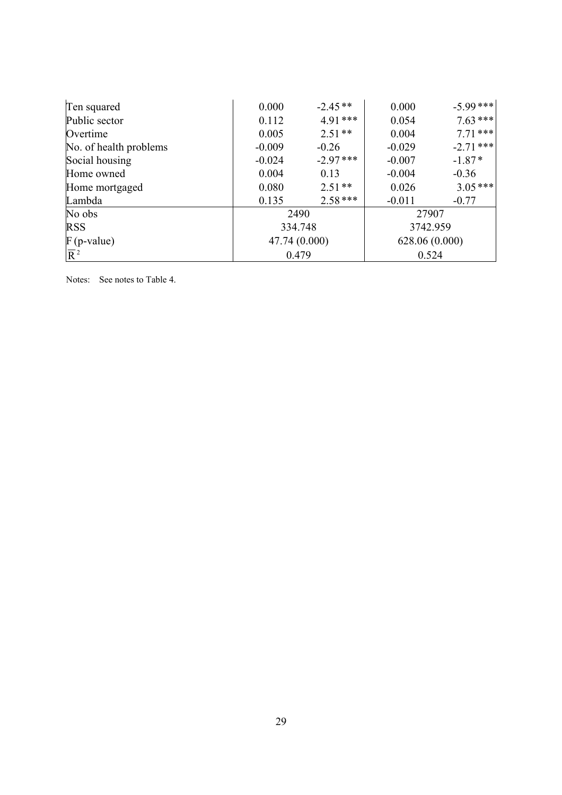| Ten squared            | 0.000         | $-2.45**$  | 0.000          | $-5.99***$  |
|------------------------|---------------|------------|----------------|-------------|
| Public sector          | 0.112         | $4.91***$  | 0.054          | $7.63***$   |
| Overtime               | 0.005         | $2.51**$   | 0.004          | $7.71***$   |
| No. of health problems | $-0.009$      | $-0.26$    | $-0.029$       | $-2.71$ *** |
| Social housing         | $-0.024$      | $-2.97***$ | $-0.007$       | $-1.87*$    |
| Home owned             | 0.004         | 0.13       | $-0.004$       | $-0.36$     |
| Home mortgaged         | 0.080         | $2.51**$   | 0.026          | $3.05$ ***  |
| Lambda                 | 0.135         | $2.58***$  | $-0.011$       | $-0.77$     |
| No obs                 | 2490          |            | 27907          |             |
| <b>RSS</b>             | 334.748       |            | 3742.959       |             |
| $F$ (p-value)          | 47.74 (0.000) |            | 628.06 (0.000) |             |
| $\overline{R}^2$       | 0.479         |            | 0.524          |             |

Notes: See notes to Table 4.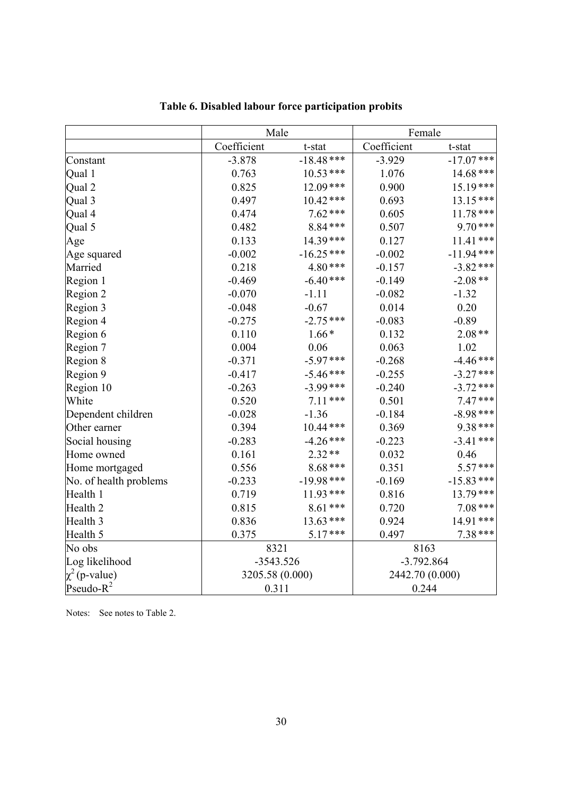|                        |                 | Male         |                 | Female       |  |
|------------------------|-----------------|--------------|-----------------|--------------|--|
|                        | Coefficient     | t-stat       | Coefficient     | t-stat       |  |
| Constant               | $-3.878$        | $-18.48$ *** | $-3.929$        | $-17.07$ *** |  |
| Qual 1                 | 0.763           | $10.53***$   | 1.076           | $14.68$ ***  |  |
| Qual 2                 | 0.825           | 12.09***     | 0.900           | $15.19***$   |  |
| Qual 3                 | 0.497           | $10.42***$   | 0.693           | $13.15***$   |  |
| Qual 4                 | 0.474           | $7.62***$    | 0.605           | $11.78***$   |  |
| Qual 5                 | 0.482           | 8.84***      | 0.507           | $9.70***$    |  |
| Age                    | 0.133           | 14.39***     | 0.127           | $11.41***$   |  |
| Age squared            | $-0.002$        | $-16.25***$  | $-0.002$        | $-11.94***$  |  |
| Married                | 0.218           | $4.80***$    | $-0.157$        | $-3.82$ ***  |  |
| Region 1               | $-0.469$        | $-6.40***$   | $-0.149$        | $-2.08**$    |  |
| Region 2               | $-0.070$        | $-1.11$      | $-0.082$        | $-1.32$      |  |
| Region 3               | $-0.048$        | $-0.67$      | 0.014           | 0.20         |  |
| Region 4               | $-0.275$        | $-2.75***$   | $-0.083$        | $-0.89$      |  |
| Region 6               | 0.110           | $1.66*$      | 0.132           | $2.08**$     |  |
| Region 7               | 0.004           | 0.06         | 0.063           | 1.02         |  |
| Region 8               | $-0.371$        | $-5.97***$   | $-0.268$        | $-4.46$ ***  |  |
| Region 9               | $-0.417$        | $-5.46***$   | $-0.255$        | $-3.27$ ***  |  |
| Region 10              | $-0.263$        | $-3.99$ ***  | $-0.240$        | $-3.72$ ***  |  |
| White                  | 0.520           | $7.11***$    | 0.501           | $7.47***$    |  |
| Dependent children     | $-0.028$        | $-1.36$      | $-0.184$        | $-8.98$ ***  |  |
| Other earner           | 0.394           | $10.44$ ***  | 0.369           | 9.38***      |  |
| Social housing         | $-0.283$        | $-4.26$ ***  | $-0.223$        | $-3.41$ ***  |  |
| Home owned             | 0.161           | $2.32**$     | 0.032           | 0.46         |  |
| Home mortgaged         | 0.556           | $8.68***$    | 0.351           | $5.57***$    |  |
| No. of health problems | $-0.233$        | $-19.98$ *** | $-0.169$        | $-15.83***$  |  |
| Health 1               | 0.719           | 11.93***     | 0.816           | 13.79***     |  |
| Health <sub>2</sub>    | 0.815           | 8.61***      | 0.720           | $7.08***$    |  |
| Health <sub>3</sub>    | 0.836           | $13.63***$   | 0.924           | 14.91***     |  |
| Health 5               | 0.375           | $5.17***$    | 0.497           | 7.38 ***     |  |
| No obs                 | 8321            |              | 8163            |              |  |
| Log likelihood         | $-3543.526$     |              | $-3.792.864$    |              |  |
| $\chi^2$ (p-value)     | 3205.58 (0.000) |              | 2442.70 (0.000) |              |  |
| Pseudo- $R^2$          | 0.311           |              | 0.244           |              |  |

**Table 6. Disabled labour force participation probits**

Notes: See notes to Table 2.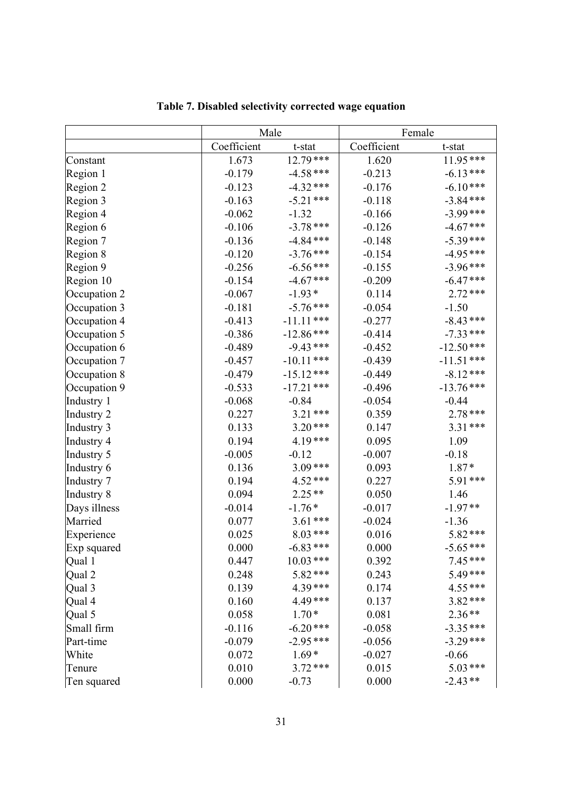|              | Male        |              | Female      |             |
|--------------|-------------|--------------|-------------|-------------|
|              | Coefficient | t-stat       | Coefficient | t-stat      |
| Constant     | 1.673       | $12.79***$   | 1.620       | 11.95 ***   |
| Region 1     | $-0.179$    | $-4.58$ ***  | $-0.213$    | $-6.13***$  |
| Region 2     | $-0.123$    | $-4.32$ ***  | $-0.176$    | $-6.10***$  |
| Region 3     | $-0.163$    | $-5.21$ ***  | $-0.118$    | $-3.84***$  |
| Region 4     | $-0.062$    | $-1.32$      | $-0.166$    | $-3.99***$  |
| Region 6     | $-0.106$    | $-3.78$ ***  | $-0.126$    | $-4.67$ *** |
| Region 7     | $-0.136$    | $-4.84$ ***  | $-0.148$    | $-5.39***$  |
| Region 8     | $-0.120$    | $-3.76***$   | $-0.154$    | $-4.95***$  |
| Region 9     | $-0.256$    | $-6.56$ ***  | $-0.155$    | $-3.96***$  |
| Region 10    | $-0.154$    | $-4.67$ ***  | $-0.209$    | $-6.47***$  |
| Occupation 2 | $-0.067$    | $-1.93*$     | 0.114       | $2.72***$   |
| Occupation 3 | $-0.181$    | $-5.76$ ***  | $-0.054$    | $-1.50$     |
| Occupation 4 | $-0.413$    | $-11.11***$  | $-0.277$    | $-8.43***$  |
| Occupation 5 | $-0.386$    | $-12.86$ *** | $-0.414$    | $-7.33$ *** |
| Occupation 6 | $-0.489$    | $-9.43***$   | $-0.452$    | $-12.50***$ |
| Occupation 7 | $-0.457$    | $-10.11$ *** | $-0.439$    | $-11.51***$ |
| Occupation 8 | $-0.479$    | $-15.12***$  | $-0.449$    | $-8.12***$  |
| Occupation 9 | $-0.533$    | $-17.21$ *** | $-0.496$    | $-13.76***$ |
| Industry 1   | $-0.068$    | $-0.84$      | $-0.054$    | $-0.44$     |
| Industry 2   | 0.227       | $3.21***$    | 0.359       | 2.78 ***    |
| Industry 3   | 0.133       | $3.20***$    | 0.147       | $3.31***$   |
| Industry 4   | 0.194       | 4.19***      | 0.095       | 1.09        |
| Industry 5   | $-0.005$    | $-0.12$      | $-0.007$    | $-0.18$     |
| Industry 6   | 0.136       | $3.09***$    | 0.093       | $1.87*$     |
| Industry 7   | 0.194       | 4.52***      | 0.227       | 5.91***     |
| Industry 8   | 0.094       | $2.25**$     | 0.050       | 1.46        |
| Days illness | $-0.014$    | $-1.76*$     | $-0.017$    | $-1.97**$   |
| Married      | 0.077       | $3.61***$    | $-0.024$    | $-1.36$     |
| Experience   | 0.025       | $8.03***$    | 0.016       | 5.82***     |
| Exp squared  | 0.000       | $-6.83***$   | 0.000       | $-5.65***$  |
| Qual 1       | 0.447       | $10.03$ ***  | 0.392       | $7.45***$   |
| Qual 2       | 0.248       | 5.82***      | 0.243       | 5.49***     |
| Qual 3       | 0.139       | 4.39***      | 0.174       | $4.55***$   |
| Qual 4       | 0.160       | 4.49***      | 0.137       | $3.82***$   |
| Qual 5       | 0.058       | $1.70*$      | 0.081       | $2.36**$    |
| Small firm   | $-0.116$    | $-6.20$ ***  | $-0.058$    | $-3.35***$  |
| Part-time    | $-0.079$    | $-2.95***$   | $-0.056$    | $-3.29$ *** |
| White        | 0.072       | $1.69*$      | $-0.027$    | $-0.66$     |
| Tenure       | 0.010       | $3.72***$    | 0.015       | $5.03***$   |
| Ten squared  | 0.000       | $-0.73$      | 0.000       | $-2.43**$   |

**Table 7. Disabled selectivity corrected wage equation**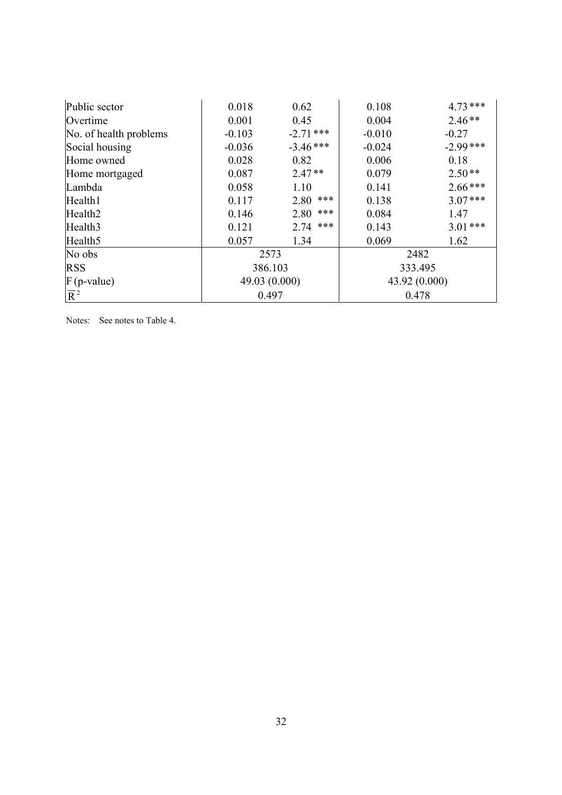| Public sector          | 0.018         | 0.62        | 0.108         | $4.73***$  |  |
|------------------------|---------------|-------------|---------------|------------|--|
| Overtime               | 0.001         | 0.45        | 0.004         | $2.46**$   |  |
| No. of health problems | $-0.103$      | $-2.71$ *** | $-0.010$      | $-0.27$    |  |
| Social housing         | $-0.036$      | $-3.46***$  | $-0.024$      | $-2.99***$ |  |
| Home owned             | 0.028         | 0.82        | 0.006         | 0.18       |  |
| Home mortgaged         | 0.087         | $2.47**$    | 0.079         | $2.50**$   |  |
| Lambda                 | 0.058         | 1.10        | 0.141         | $2.66***$  |  |
| Health1                | 0.117         | ***<br>2.80 | 0.138         | $3.07***$  |  |
| Health <sub>2</sub>    | 0.146         | ***<br>2.80 | 0.084         | 1.47       |  |
| Health <sub>3</sub>    | 0.121         | ***<br>2.74 | 0.143         | $3.01***$  |  |
| Health <sub>5</sub>    | 0.057         | 1.34        | 0.069         | 1.62       |  |
| No obs                 | 2573          |             |               | 2482       |  |
| <b>RSS</b>             | 386.103       |             | 333.495       |            |  |
| $F$ (p-value)          | 49.03 (0.000) |             | 43.92 (0.000) |            |  |
| $\overline{R}^2$       | 0.497         |             | 0.478         |            |  |

Notes: See notes to Table 4.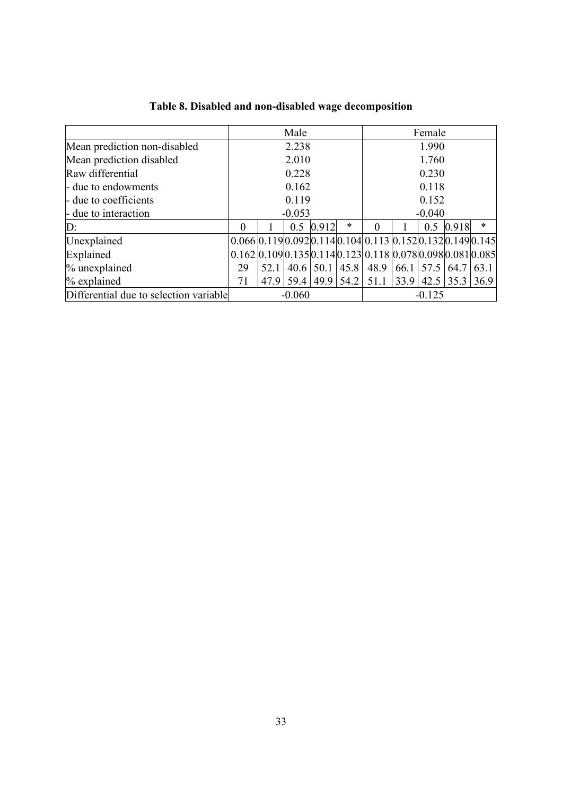|                                        |                      |      | Male  |          |                  |                                                                                                            |       | Female |                |        |
|----------------------------------------|----------------------|------|-------|----------|------------------|------------------------------------------------------------------------------------------------------------|-------|--------|----------------|--------|
| Mean prediction non-disabled           | 2.238                |      |       | 1.990    |                  |                                                                                                            |       |        |                |        |
| Mean prediction disabled               |                      |      | 2.010 |          |                  | 1.760                                                                                                      |       |        |                |        |
| Raw differential                       |                      |      | 0.228 |          |                  |                                                                                                            | 0.230 |        |                |        |
| - due to endowments                    | 0.162                |      |       | 0.118    |                  |                                                                                                            |       |        |                |        |
| - due to coefficients                  | 0.119                |      |       | 0.152    |                  |                                                                                                            |       |        |                |        |
| - due to interaction                   | $-0.053$             |      |       | $-0.040$ |                  |                                                                                                            |       |        |                |        |
| D:                                     | $\theta$             |      | 0.5   | 0.912    | $\ast$           | 0                                                                                                          |       | 0.5    | 0.918          | $\ast$ |
| Unexplained                            |                      |      |       |          |                  | $0.066 \mid 0.119 \mid 0.092 \mid 0.114 \mid 0.104 \mid 0.113 \mid 0.152 \mid 0.132 \mid 0.149 \mid 0.145$ |       |        |                |        |
| Explained                              |                      |      |       |          |                  | $0.162 \,   0.109 \,   0.135 \,   0.114 \,   0.123 \,   0.118 \,   0.078 \,   0.098 \,   0.081 \,   0.085$ |       |        |                |        |
| % unexplained                          | 29                   | 52.1 |       |          | $40.6$ 50.1 45.8 | 48.9                                                                                                       |       |        | 66.1 57.5 64.7 | 63.1   |
| % explained                            | 71                   |      |       |          |                  | 47.9 59.4 49.9 54.2 51.1 33.9 42.5 35.3 36.9                                                               |       |        |                |        |
| Differential due to selection variable | $-0.060$<br>$-0.125$ |      |       |          |                  |                                                                                                            |       |        |                |        |

## **Table 8. Disabled and non-disabled wage decomposition**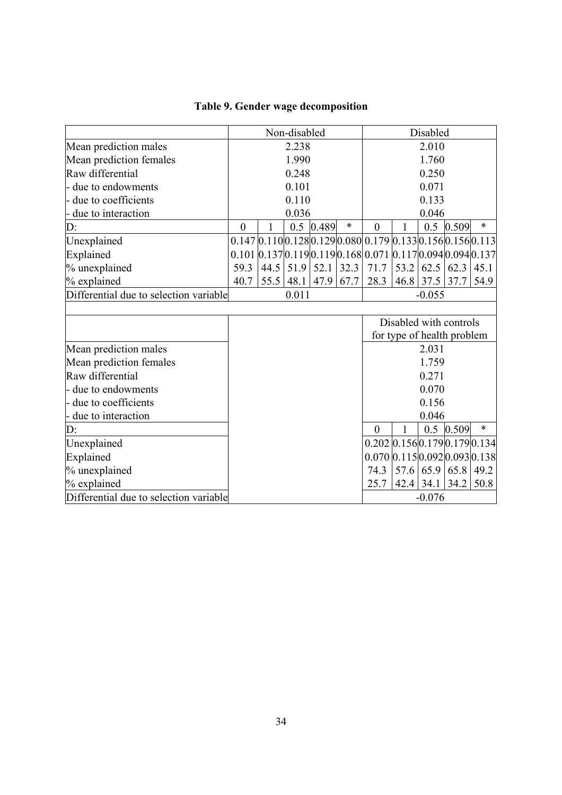| Table 9. Gender wage decomposition |  |  |  |  |
|------------------------------------|--|--|--|--|
|------------------------------------|--|--|--|--|

|                                        | Non-disabled |       |             |       |          | Disabled                                                                                          |             |             |                        |        |
|----------------------------------------|--------------|-------|-------------|-------|----------|---------------------------------------------------------------------------------------------------|-------------|-------------|------------------------|--------|
| Mean prediction males                  | 2.238        |       |             | 2.010 |          |                                                                                                   |             |             |                        |        |
| Mean prediction females                | 1.990        |       |             | 1.760 |          |                                                                                                   |             |             |                        |        |
| Raw differential                       |              |       | 0.248       |       |          | 0.250                                                                                             |             |             |                        |        |
| due to endowments                      |              |       | 0.101       |       |          | 0.071                                                                                             |             |             |                        |        |
| - due to coefficients                  |              |       | 0.110       |       |          | 0.133                                                                                             |             |             |                        |        |
| due to interaction                     |              |       | 0.036       |       |          |                                                                                                   | 0.046       |             |                        |        |
| D:                                     | $\theta$     |       | 0.5         | 0.489 | $\ast$   | $\mathbf{0}$                                                                                      |             | 0.5         | 0.509                  | $\ast$ |
| Unexplained                            |              |       |             |       |          | $0.147 0.110 0.128 0.129 0.080 0.179 0.133 0.156 0.156 0.113$                                     |             |             |                        |        |
| Explained                              |              |       |             |       |          | $0.101$   $0.137$   $0.119$   $0.119$   $0.168$   $0.071$   $0.117$   $0.094$   $0.094$   $0.137$ |             |             |                        |        |
| % unexplained                          | 59.3         |       | $44.5$ 51.9 | 52.1  | 32.3     | 71.7                                                                                              | 53.2        | 62.5        | 62.3                   | 45.1   |
| % explained                            | 40.7         |       | $55.5$ 48.1 | 47.9  | 67.7     | 28.3                                                                                              | 46.8        | $37.5$ 37.7 |                        | 54.9   |
| Differential due to selection variable |              | 0.011 |             |       | $-0.055$ |                                                                                                   |             |             |                        |        |
|                                        |              |       |             |       |          |                                                                                                   |             |             |                        |        |
|                                        |              |       |             |       |          |                                                                                                   |             |             | Disabled with controls |        |
|                                        |              |       |             |       |          | for type of health problem                                                                        |             |             |                        |        |
| Mean prediction males                  |              |       |             |       |          |                                                                                                   |             | 2.031       |                        |        |
| Mean prediction females                |              |       |             |       |          |                                                                                                   |             | 1.759       |                        |        |
| Raw differential                       |              |       |             |       |          |                                                                                                   |             | 0.271       |                        |        |
| due to endowments                      |              |       |             |       |          |                                                                                                   |             | 0.070       |                        |        |
| - due to coefficients                  |              |       |             |       |          |                                                                                                   |             | 0.156       |                        |        |
| due to interaction                     |              |       |             |       |          | 0.046                                                                                             |             |             |                        |        |
| D:                                     |              |       |             |       |          | $\mathbf{0}$                                                                                      |             |             | $0.5$ 0.509            | $\ast$ |
| Unexplained                            |              |       |             |       |          | $0.202 \,   0.156 \,   0.179 \,   0.179 \,   0.134 \,  $                                          |             |             |                        |        |
| Explained                              |              |       |             |       |          | $0.070$ 0.115 0.092 0.093 0.138                                                                   |             |             |                        |        |
| % unexplained                          |              |       |             |       |          | 74.3                                                                                              | 57.6        |             | 65.9 65.8              | 49.2   |
| % explained                            |              |       |             |       |          | 25.7                                                                                              | $42.4$ 34.1 |             | 34.2                   | 50.8   |
| Differential due to selection variable | $-0.076$     |       |             |       |          |                                                                                                   |             |             |                        |        |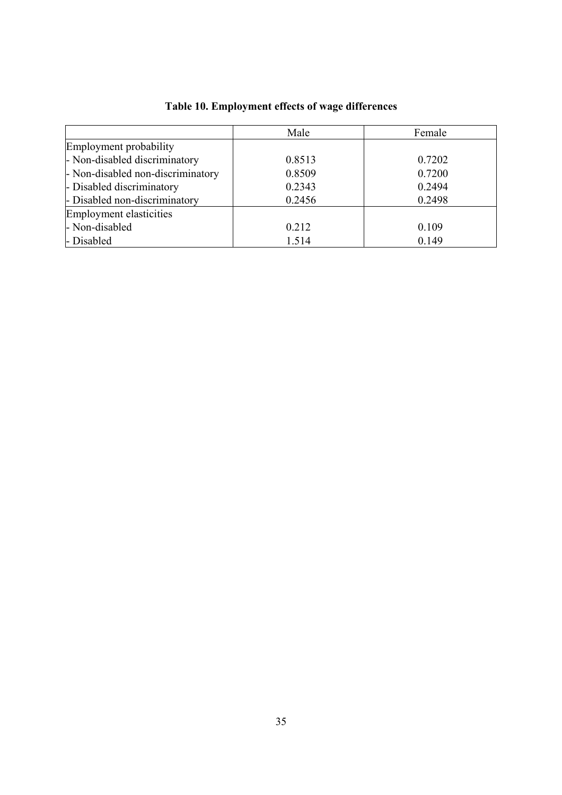|                                   | Male   | Female |
|-----------------------------------|--------|--------|
| Employment probability            |        |        |
| - Non-disabled discriminatory     | 0.8513 | 0.7202 |
| - Non-disabled non-discriminatory | 0.8509 | 0.7200 |
| - Disabled discriminatory         | 0.2343 | 0.2494 |
| - Disabled non-discriminatory     | 0.2456 | 0.2498 |
| Employment elasticities           |        |        |
| - Non-disabled                    | 0.212  | 0.109  |
| - Disabled                        | 1.514  | 0.149  |

## **Table 10. Employment effects of wage differences**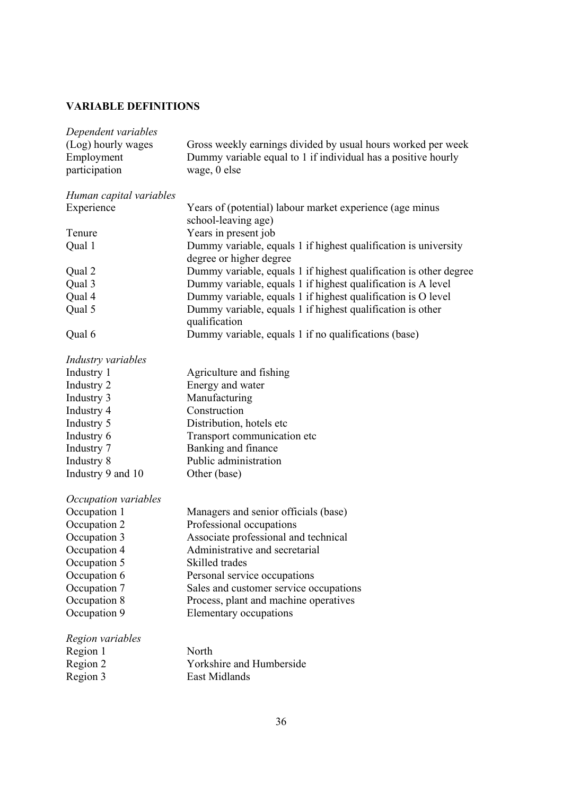### **VARIABLE DEFINITIONS**

| Gross weekly earnings divided by usual hours worked per week                               |
|--------------------------------------------------------------------------------------------|
| Dummy variable equal to 1 if individual has a positive hourly                              |
| wage, 0 else                                                                               |
|                                                                                            |
|                                                                                            |
| Years of (potential) labour market experience (age minus<br>school-leaving age)            |
| Years in present job                                                                       |
| Dummy variable, equals 1 if highest qualification is university<br>degree or higher degree |
| Dummy variable, equals 1 if highest qualification is other degree                          |
| Dummy variable, equals 1 if highest qualification is A level                               |
| Dummy variable, equals 1 if highest qualification is O level                               |
| Dummy variable, equals 1 if highest qualification is other                                 |
| qualification                                                                              |
| Dummy variable, equals 1 if no qualifications (base)                                       |
|                                                                                            |
| Agriculture and fishing                                                                    |
| Energy and water                                                                           |
| Manufacturing                                                                              |
| Construction                                                                               |
| Distribution, hotels etc                                                                   |
| Transport communication etc                                                                |
| Banking and finance                                                                        |
| Public administration                                                                      |
| Other (base)                                                                               |
|                                                                                            |
| Managers and senior officials (base)                                                       |
| Professional occupations                                                                   |
| Associate professional and technical                                                       |
| Administrative and secretarial                                                             |
| Skilled trades                                                                             |
| Personal service occupations                                                               |
| Sales and customer service occupations                                                     |
| Process, plant and machine operatives                                                      |
| Elementary occupations                                                                     |
|                                                                                            |
| North                                                                                      |
| Yorkshire and Humberside                                                                   |
| East Midlands                                                                              |
|                                                                                            |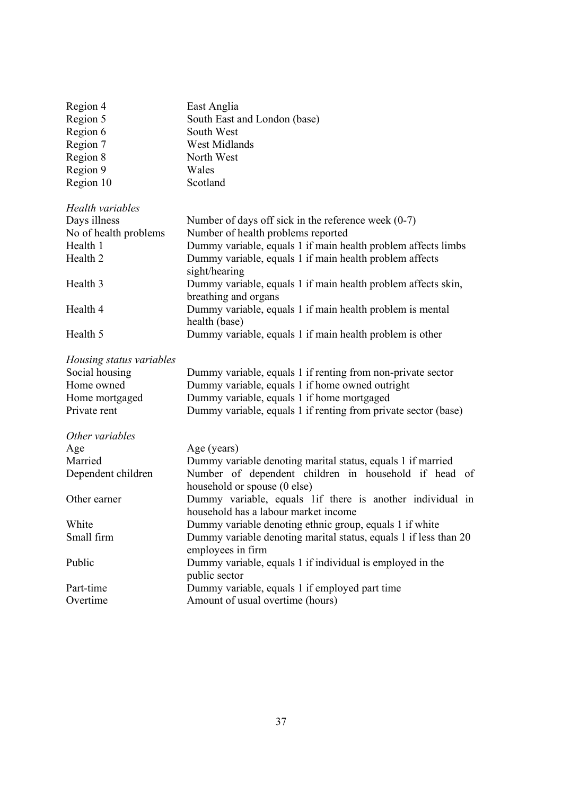| Region 4                 | East Anglia                                                                                       |
|--------------------------|---------------------------------------------------------------------------------------------------|
| Region 5                 | South East and London (base)                                                                      |
| Region 6                 | South West                                                                                        |
| Region 7                 | West Midlands                                                                                     |
| Region 8                 | North West                                                                                        |
| Region 9                 | Wales                                                                                             |
| Region 10                | Scotland                                                                                          |
| Health variables         |                                                                                                   |
| Days illness             | Number of days off sick in the reference week $(0-7)$                                             |
| No of health problems    | Number of health problems reported                                                                |
| Health 1                 | Dummy variable, equals 1 if main health problem affects limbs                                     |
| Health 2                 | Dummy variable, equals 1 if main health problem affects<br>sight/hearing                          |
| Health 3                 | Dummy variable, equals 1 if main health problem affects skin,<br>breathing and organs             |
| Health 4                 | Dummy variable, equals 1 if main health problem is mental<br>health (base)                        |
| Health 5                 | Dummy variable, equals 1 if main health problem is other                                          |
| Housing status variables |                                                                                                   |
| Social housing           | Dummy variable, equals 1 if renting from non-private sector                                       |
| Home owned               | Dummy variable, equals 1 if home owned outright                                                   |
| Home mortgaged           | Dummy variable, equals 1 if home mortgaged                                                        |
| Private rent             | Dummy variable, equals 1 if renting from private sector (base)                                    |
| Other variables          |                                                                                                   |
| Age                      | Age (years)                                                                                       |
| Married                  | Dummy variable denoting marital status, equals 1 if married                                       |
| Dependent children       | Number of dependent children in household if head of<br>household or spouse (0 else)              |
| Other earner             | Dummy variable, equals lif there is another individual in<br>household has a labour market income |
| White                    | Dummy variable denoting ethnic group, equals 1 if white                                           |
| Small firm               | Dummy variable denoting marital status, equals 1 if less than 20<br>employees in firm             |
| Public                   | Dummy variable, equals 1 if individual is employed in the<br>public sector                        |
| Part-time                | Dummy variable, equals 1 if employed part time                                                    |
| Overtime                 | Amount of usual overtime (hours)                                                                  |
|                          |                                                                                                   |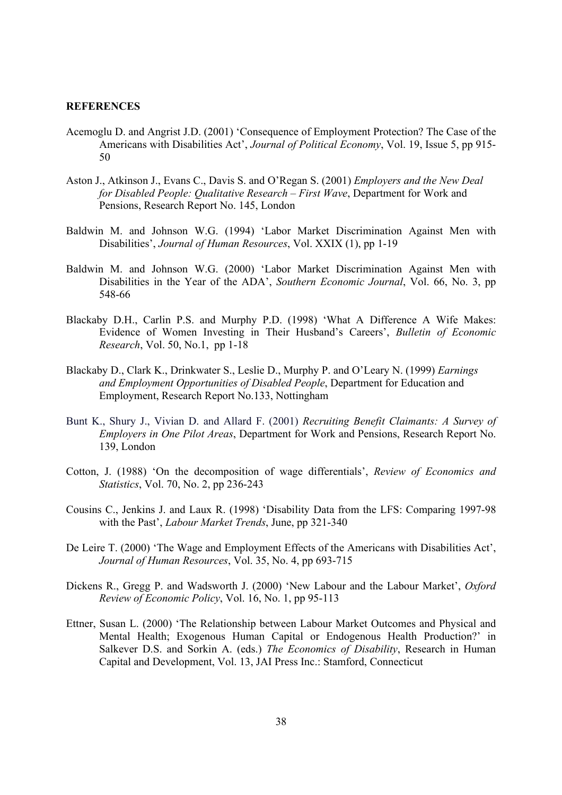#### **REFERENCES**

- Acemoglu D. and Angrist J.D. (2001) 'Consequence of Employment Protection? The Case of the Americans with Disabilities Act', *Journal of Political Economy*, Vol. 19, Issue 5, pp 915- 50
- Aston J., Atkinson J., Evans C., Davis S. and O'Regan S. (2001) *Employers and the New Deal for Disabled People: Qualitative Research – First Wave*, Department for Work and Pensions, Research Report No. 145, London
- Baldwin M. and Johnson W.G. (1994) 'Labor Market Discrimination Against Men with Disabilities', *Journal of Human Resources*, Vol. XXIX (1), pp 1-19
- Baldwin M. and Johnson W.G. (2000) 'Labor Market Discrimination Against Men with Disabilities in the Year of the ADA', *Southern Economic Journal*, Vol. 66, No. 3, pp 548-66
- Blackaby D.H., Carlin P.S. and Murphy P.D. (1998) 'What A Difference A Wife Makes: Evidence of Women Investing in Their Husband's Careers', *Bulletin of Economic Research*, Vol. 50, No.1, pp 1-18
- Blackaby D., Clark K., Drinkwater S., Leslie D., Murphy P. and O'Leary N. (1999) *Earnings and Employment Opportunities of Disabled People*, Department for Education and Employment, Research Report No.133, Nottingham
- Bunt K., Shury J., Vivian D. and Allard F. (2001) *Recruiting Benefit Claimants: A Survey of Employers in One Pilot Areas*, Department for Work and Pensions, Research Report No. 139, London
- Cotton, J. (1988) 'On the decomposition of wage differentials', *Review of Economics and Statistics*, Vol. 70, No. 2, pp 236-243
- Cousins C., Jenkins J. and Laux R. (1998) 'Disability Data from the LFS: Comparing 1997-98 with the Past', *Labour Market Trends*, June, pp 321-340
- De Leire T. (2000) 'The Wage and Employment Effects of the Americans with Disabilities Act', *Journal of Human Resources*, Vol. 35, No. 4, pp 693-715
- Dickens R., Gregg P. and Wadsworth J. (2000) 'New Labour and the Labour Market', *Oxford Review of Economic Policy*, Vol. 16, No. 1, pp 95-113
- Ettner, Susan L. (2000) 'The Relationship between Labour Market Outcomes and Physical and Mental Health; Exogenous Human Capital or Endogenous Health Production?' in Salkever D.S. and Sorkin A. (eds.) *The Economics of Disability*, Research in Human Capital and Development, Vol. 13, JAI Press Inc.: Stamford, Connecticut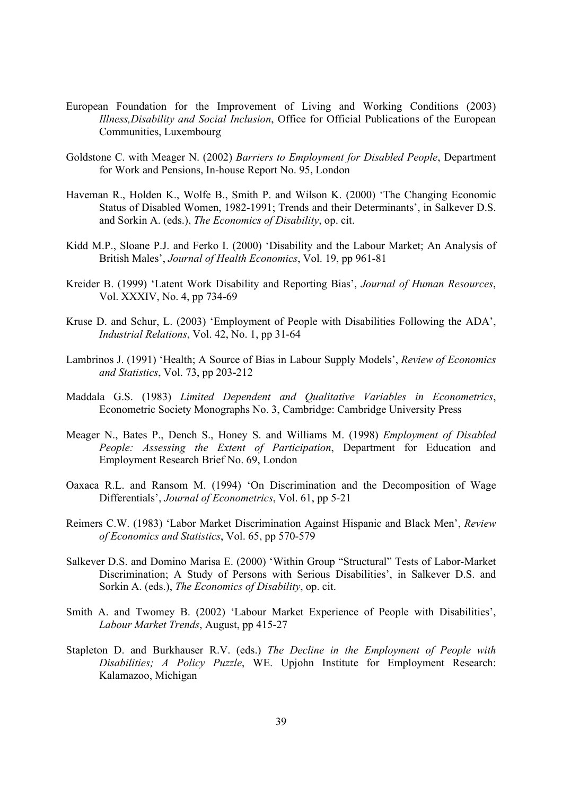- European Foundation for the Improvement of Living and Working Conditions (2003) *Illness,Disability and Social Inclusion*, Office for Official Publications of the European Communities, Luxembourg
- Goldstone C. with Meager N. (2002) *Barriers to Employment for Disabled People*, Department for Work and Pensions, In-house Report No. 95, London
- Haveman R., Holden K., Wolfe B., Smith P. and Wilson K. (2000) 'The Changing Economic Status of Disabled Women, 1982-1991; Trends and their Determinants', in Salkever D.S. and Sorkin A. (eds.), *The Economics of Disability*, op. cit.
- Kidd M.P., Sloane P.J. and Ferko I. (2000) 'Disability and the Labour Market; An Analysis of British Males', *Journal of Health Economics*, Vol. 19, pp 961-81
- Kreider B. (1999) 'Latent Work Disability and Reporting Bias', *Journal of Human Resources*, Vol. XXXIV, No. 4, pp 734-69
- Kruse D. and Schur, L. (2003) 'Employment of People with Disabilities Following the ADA', *Industrial Relations*, Vol. 42, No. 1, pp 31-64
- Lambrinos J. (1991) 'Health; A Source of Bias in Labour Supply Models', *Review of Economics and Statistics*, Vol. 73, pp 203-212
- Maddala G.S. (1983) *Limited Dependent and Qualitative Variables in Econometrics*, Econometric Society Monographs No. 3, Cambridge: Cambridge University Press
- Meager N., Bates P., Dench S., Honey S. and Williams M. (1998) *Employment of Disabled People: Assessing the Extent of Participation*, Department for Education and Employment Research Brief No. 69, London
- Oaxaca R.L. and Ransom M. (1994) 'On Discrimination and the Decomposition of Wage Differentials', *Journal of Econometrics*, Vol. 61, pp 5-21
- Reimers C.W. (1983) 'Labor Market Discrimination Against Hispanic and Black Men', *Review of Economics and Statistics*, Vol. 65, pp 570-579
- Salkever D.S. and Domino Marisa E. (2000) 'Within Group "Structural" Tests of Labor-Market Discrimination; A Study of Persons with Serious Disabilities', in Salkever D.S. and Sorkin A. (eds.), *The Economics of Disability*, op. cit.
- Smith A. and Twomey B. (2002) 'Labour Market Experience of People with Disabilities', *Labour Market Trends*, August, pp 415-27
- Stapleton D. and Burkhauser R.V. (eds.) *The Decline in the Employment of People with Disabilities; A Policy Puzzle*, WE. Upjohn Institute for Employment Research: Kalamazoo, Michigan